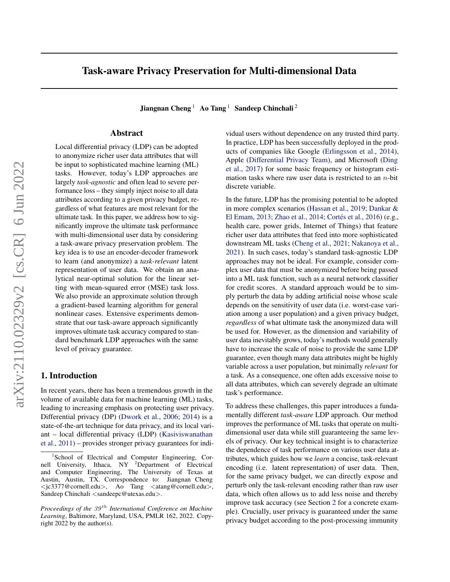# Task-aware Privacy Preservation for Multi-dimensional Data

Jiangnan Cheng<sup>1</sup> Ao Tang<sup>1</sup> Sandeep Chinchali<sup>2</sup>

# Abstract

Local differential privacy (LDP) can be adopted to anonymize richer user data attributes that will be input to sophisticated machine learning (ML) tasks. However, today's LDP approaches are largely *task-agnostic* and often lead to severe performance loss – they simply inject noise to all data attributes according to a given privacy budget, regardless of what features are most relevant for the ultimate task. In this paper, we address how to significantly improve the ultimate task performance with multi-dimensional user data by considering a task-aware privacy preservation problem. The key idea is to use an encoder-decoder framework to learn (and anonymize) a *task-relevant* latent representation of user data. We obtain an analytical near-optimal solution for the linear setting with mean-squared error (MSE) task loss. We also provide an approximate solution through a gradient-based learning algorithm for general nonlinear cases. Extensive experiments demonstrate that our task-aware approach significantly improves ultimate task accuracy compared to standard benchmark LDP approaches with the same level of privacy guarantee.

# 1. Introduction

In recent years, there has been a tremendous growth in the volume of available data for machine learning (ML) tasks, leading to increasing emphasis on protecting user privacy. Differential privacy (DP) [\(Dwork et al.,](#page-8-0) [2006;](#page-8-0) [2014\)](#page-8-1) is a state-of-the-art technique for data privacy, and its local variant – local differential privacy (LDP) [\(Kasiviswanathan](#page-9-0) [et al.,](#page-9-0) [2011\)](#page-9-0) – provides stronger privacy guarantees for individual users without dependence on any trusted third party. In practice, LDP has been successfully deployed in the products of companies like Google [\(Erlingsson et al.,](#page-9-1) [2014\)](#page-9-1), Apple [\(Differential Privacy Team\)](#page-8-2), and Microsoft [\(Ding](#page-8-3) [et al.,](#page-8-3) [2017\)](#page-8-3) for some basic frequency or histogram estimation tasks where raw user data is restricted to an  $n$ -bit discrete variable.

In the future, LDP has the promising potential to be adopted in more complex scenarios [\(Hassan et al.,](#page-9-2) [2019;](#page-9-2) [Dankar &](#page-8-4) [El Emam,](#page-8-4) [2013;](#page-8-4) [Zhao et al.,](#page-10-0) [2014;](#page-10-0) Cortés et al., [2016\)](#page-8-5) (e.g., health care, power grids, Internet of Things) that feature richer user data attributes that feed into more sophisticated downstream ML tasks [\(Cheng et al.,](#page-8-6) [2021;](#page-8-6) [Nakanoya et al.,](#page-9-3) [2021\)](#page-9-3). In such cases, today's standard task-agnostic LDP approaches may not be ideal. For example, consider complex user data that must be anonymized before being passed into a ML task function, such as a neural network classifier for credit scores. A standard approach would be to simply perturb the data by adding artificial noise whose scale depends on the sensitivity of user data (i.e. worst-case variation among a user population) and a given privacy budget, *regardless* of what ultimate task the anonymized data will be used for. However, as the dimension and variability of user data inevitably grows, today's methods would generally have to increase the scale of noise to provide the same LDP guarantee, even though many data attributes might be highly variable across a user population, but minimally *relevant* for a task. As a consequence, one often adds excessive noise to all data attributes, which can severely degrade an ultimate task's performance.

To address these challenges, this paper introduces a fundamentally different *task-aware* LDP approach. Our method improves the performance of ML tasks that operate on multidimensional user data while still guaranteeing the same levels of privacy. Our key technical insight is to characterize the dependence of task performance on various user data attributes, which guides how we *learn* a concise, task-relevant encoding (i.e. latent representation) of user data. Then, for the same privacy budget, we can directly expose and perturb only the task-relevant encoding rather than raw user data, which often allows us to add less noise and thereby improve task accuracy (see Section [2](#page-1-0) for a concrete example). Crucially, user privacy is guaranteed under the same privacy budget according to the post-processing immunity

<sup>1</sup> School of Electrical and Computer Engineering, Cornell University, Ithaca, NY <sup>2</sup>Department of Electrical and Computer Engineering, The University of Texas at Austin, Austin, TX. Correspondence to: Jiangnan Cheng  $\langle$ ic3377@cornell.edu $\rangle$ , Ao Tang  $\langle$ atang@cornell.edu $\rangle$ , Sandeep Chinchali <sandeepc@utexas.edu>.

*Proceedings of the*  $39<sup>th</sup>$  *International Conference on Machine Learning*, Baltimore, Maryland, USA, PMLR 162, 2022. Copyright 2022 by the author(s).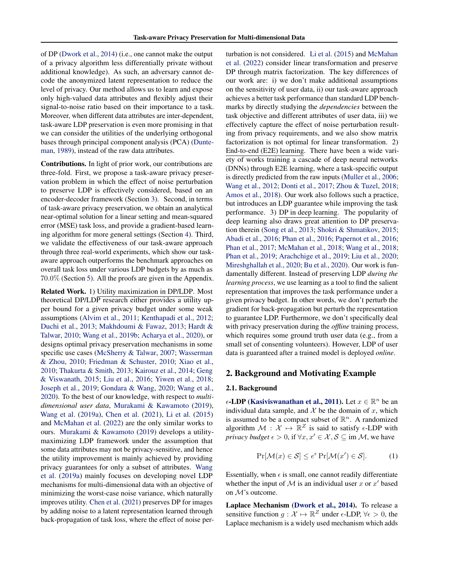of DP [\(Dwork et al.,](#page-8-1) [2014\)](#page-8-1) (i.e., one cannot make the output of a privacy algorithm less differentially private without additional knowledge). As such, an adversary cannot decode the anonymized latent representation to reduce the level of privacy. Our method allows us to learn and expose only high-valued data attributes and flexibly adjust their signal-to-noise ratio based on their importance to a task. Moreover, when different data attributes are inter-dependent, task-aware LDP preservation is even more promising in that we can consider the utilities of the underlying orthogonal bases through principal component analysis (PCA) [\(Dunte](#page-8-7)[man,](#page-8-7) [1989\)](#page-8-7), instead of the raw data attributes.

Contributions. In light of prior work, our contributions are three-fold. First, we propose a task-aware privacy preservation problem in which the effect of noise perturbation to preserve LDP is effectively considered, based on an encoder-decoder framework (Section [3\)](#page-2-0). Second, in terms of task-aware privacy preservation, we obtain an analytical near-optimal solution for a linear setting and mean-squared error (MSE) task loss, and provide a gradient-based learning algorithm for more general settings (Section [4\)](#page-3-0). Third, we validate the effectiveness of our task-aware approach through three real-world experiments, which show our taskaware approach outperforms the benchmark approaches on overall task loss under various LDP budgets by as much as 70.0% (Section [5\)](#page-6-0). All the proofs are given in the Appendix.

Related Work. 1) Utility maximization in DP/LDP. Most theoretical DP/LDP research either provides a utility upper bound for a given privacy budget under some weak assumptions [\(Alvim et al.,](#page-8-8) [2011;](#page-8-8) [Kenthapadi et al.,](#page-9-4) [2012;](#page-9-4) [Duchi et al.,](#page-8-9) [2013;](#page-8-9) [Makhdoumi & Fawaz,](#page-9-5) [2013;](#page-9-5) [Hardt &](#page-9-6) [Talwar,](#page-9-6) [2010;](#page-9-6) [Wang et al.,](#page-10-1) [2019b;](#page-10-1) [Acharya et al.,](#page-8-10) [2020\)](#page-8-10), or designs optimal privacy preservation mechanisms in some specific use cases [\(McSherry & Talwar,](#page-9-7) [2007;](#page-9-7) [Wasserman](#page-10-2) [& Zhou,](#page-10-2) [2010;](#page-10-2) [Friedman & Schuster,](#page-9-8) [2010;](#page-9-8) [Xiao et al.,](#page-10-3) [2010;](#page-10-3) [Thakurta & Smith,](#page-10-4) [2013;](#page-10-4) [Kairouz et al.,](#page-9-9) [2014;](#page-9-9) [Geng](#page-9-10) [& Viswanath,](#page-9-10) [2015;](#page-9-10) [Liu et al.,](#page-9-11) [2016;](#page-9-11) [Yiwen et al.,](#page-10-5) [2018;](#page-10-5) [Joseph et al.,](#page-9-12) [2019;](#page-9-12) [Gondara & Wang,](#page-9-13) [2020;](#page-9-13) [Wang et al.,](#page-10-6) [2020\)](#page-10-6). To the best of our knowledge, with respect to *multidimensional user data*, [Murakami & Kawamoto](#page-9-14) [\(2019\)](#page-9-14), [Wang et al.](#page-10-7) [\(2019a\)](#page-10-7), [Chen et al.](#page-8-11) [\(2021\)](#page-8-11), [Li et al.](#page-9-15) [\(2015\)](#page-9-15) and [McMahan et al.](#page-9-16) [\(2022\)](#page-9-16) are the only similar works to ours. [Murakami & Kawamoto](#page-9-14) [\(2019\)](#page-9-14) develops a utilitymaximizing LDP framework under the assumption that some data attributes may not be privacy-sensitive, and hence the utility improvement is mainly achieved by providing privacy guarantees for only a subset of attributes. [Wang](#page-10-7) [et al.](#page-10-7) [\(2019a\)](#page-10-7) mainly focuses on developing novel LDP mechanisms for multi-dimensional data with an objective of minimizing the worst-case noise variance, which naturally improves utility. [Chen et al.](#page-8-11) [\(2021\)](#page-8-11) preserves DP for images by adding noise to a latent representation learned through back-propagation of task loss, where the effect of noise perturbation is not considered. [Li et al.](#page-9-15) [\(2015\)](#page-9-15) and [McMahan](#page-9-16) [et al.](#page-9-16) [\(2022\)](#page-9-16) consider linear transformation and preserve DP through matrix factorization. The key differences of our work are: i) we don't make additional assumptions on the sensitivity of user data, ii) our task-aware approach achieves a better task performance than standard LDP benchmarks by directly studying the *dependencies* between the task objective and different attributes of user data, iii) we effectively capture the effect of noise perturbation resulting from privacy requirements, and we also show matrix factorization is not optimal for linear transformation. 2) End-to-end (E2E) learning. There have been a wide variety of works training a cascade of deep neural networks (DNNs) through E2E learning, where a task-specific output is directly predicted from the raw inputs [\(Muller et al.,](#page-9-17) [2006;](#page-9-17) [Wang et al.,](#page-10-8) [2012;](#page-10-8) [Donti et al.,](#page-8-12) [2017;](#page-8-12) [Zhou & Tuzel,](#page-10-9) [2018;](#page-10-9) [Amos et al.,](#page-8-13) [2018\)](#page-8-13). Our work also follows such a practice, but introduces an LDP guarantee while improving the task performance. 3) DP in deep learning. The popularity of deep learning also draws great attention to DP preservation therein [\(Song et al.,](#page-10-10) [2013;](#page-10-10) [Shokri & Shmatikov,](#page-10-11) [2015;](#page-10-11) [Abadi et al.,](#page-8-14) [2016;](#page-8-14) [Phan et al.,](#page-10-12) [2016;](#page-10-12) [Papernot et al.,](#page-9-18) [2016;](#page-9-18) [Phan et al.,](#page-10-13) [2017;](#page-10-13) [McMahan et al.,](#page-9-19) [2018;](#page-9-19) [Wang et al.,](#page-10-14) [2018;](#page-10-14) [Phan et al.,](#page-10-15) [2019;](#page-10-15) [Arachchige et al.,](#page-8-15) [2019;](#page-8-15) [Liu et al.,](#page-9-20) [2020;](#page-9-20) [Mireshghallah et al.,](#page-9-21) [2020;](#page-9-21) [Bu et al.,](#page-8-16) [2020\)](#page-8-16). Our work is fundamentally different. Instead of preserving LDP *during the learning process*, we use learning as a tool to find the salient representation that improves the task performance under a given privacy budget. In other words, we don't perturb the gradient for back-propagation but perturb the representation to guarantee LDP. Furthermore, we don't specifically deal with privacy preservation during the *offline* training process, which requires some ground truth user data (e.g., from a small set of consenting volunteers). However, LDP of user data is guaranteed after a trained model is deployed *online*.

### <span id="page-1-0"></span>2. Background and Motivating Example

#### 2.1. Background

 $\epsilon$ -LDP [\(Kasiviswanathan et al.,](#page-9-0) [2011\)](#page-9-0). Let  $x \in \mathbb{R}^n$  be an individual data sample, and  $X$  be the domain of  $x$ , which is assumed to be a compact subset of  $\mathbb{R}^n$ . A randomized algorithm  $\mathcal{M} : \mathcal{X} \mapsto \mathbb{R}^Z$  is said to satisfy  $\epsilon$ -LDP with *privacy budget*  $\epsilon > 0$ , if  $\forall x, x' \in \mathcal{X}, \mathcal{S} \subseteq \text{im } \mathcal{M}$ , we have

$$
\Pr[\mathcal{M}(x) \in \mathcal{S}] \le e^{\epsilon} \Pr[\mathcal{M}(x') \in \mathcal{S}]. \tag{1}
$$

Essentially, when  $\epsilon$  is small, one cannot readily differentiate whether the input of  $M$  is an individual user x or  $x'$  based on M's outcome.

Laplace Mechanism [\(Dwork et al.,](#page-8-1) [2014\)](#page-8-1). To release a sensitive function  $g: \mathcal{X} \mapsto \mathbb{R}^Z$  under  $\epsilon$ -LDP,  $\forall \epsilon > 0$ , the Laplace mechanism is a widely used mechanism which adds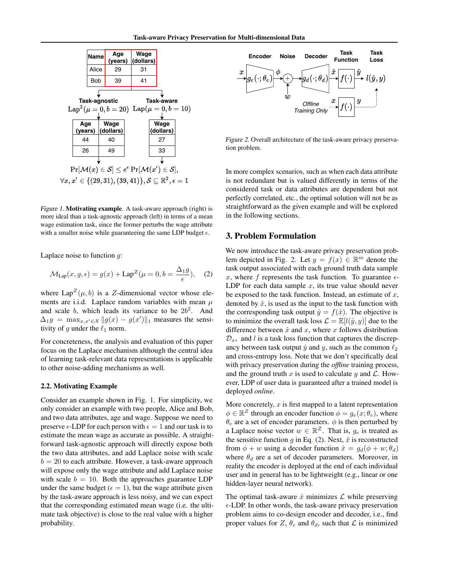

Figure 1. Motivating example. A task-aware approach (right) is more ideal than a task-agnostic approach (left) in terms of a mean wage estimation task, since the former perturbs the wage attribute with a smaller noise while guaranteeing the same LDP budget  $\epsilon$ .

Laplace noise to function  $q$ :

$$
\mathcal{M}_{\text{Lap}}(x, g, \epsilon) = g(x) + \text{Lap}^Z(\mu = 0, b = \frac{\Delta_1 g}{\epsilon}), \quad (2)
$$

where  $\text{Lap}^Z(\mu, b)$  is a Z-dimensional vector whose elements are i.i.d. Laplace random variables with mean  $\mu$ and scale b, which leads its variance to be  $2b^2$ . And  $\Delta_1 g = \max_{x, x' \in \mathcal{X}} \|g(x) - g(x')\|_1$  measures the sensitivity of g under the  $\ell_1$  norm.

For concreteness, the analysis and evaluation of this paper focus on the Laplace mechanism although the central idea of learning task-relevant data representations is applicable to other noise-adding mechanisms as well.

### 2.2. Motivating Example

Consider an example shown in Fig. [1.](#page-2-1) For simplicity, we only consider an example with two people, Alice and Bob, and two data attributes, age and wage. Suppose we need to preserve  $\epsilon$ -LDP for each person with  $\epsilon = 1$  and our task is to estimate the mean wage as accurate as possible. A straightforward task-agnostic approach will directly expose both the two data attributes, and add Laplace noise with scale  $b = 20$  to each attribute. However, a task-aware approach will expose only the wage attribute and add Laplace noise with scale  $b = 10$ . Both the approaches guarantee LDP under the same budget ( $\epsilon = 1$ ), but the wage attribute given by the task-aware approach is less noisy, and we can expect that the corresponding estimated mean wage (i.e. the ultimate task objective) is close to the real value with a higher probability.



<span id="page-2-2"></span>Figure 2. Overall architecture of the task-aware privacy preservation problem.

<span id="page-2-1"></span>In more complex scenarios, such as when each data attribute is not redundant but is valued differently in terms of the considered task or data attributes are dependent but not perfectly correlated, etc., the optimal solution will not be as straightforward as the given example and will be explored in the following sections.

### <span id="page-2-0"></span>3. Problem Formulation

<span id="page-2-3"></span>We now introduce the task-aware privacy preservation prob-lem depicted in Fig. [2.](#page-2-2) Let  $y = f(x) \in \mathbb{R}^m$  denote the task output associated with each ground truth data sample x, where f represents the task function. To guarantee  $\epsilon$ -LDP for each data sample  $x$ , its true value should never be exposed to the task function. Instead, an estimate of  $x$ , denoted by  $\hat{x}$ , is used as the input to the task function with the corresponding task output  $\hat{y} = f(\hat{x})$ . The objective is to minimize the overall task loss  $\mathcal{L} = \mathbb{E}[l(\hat{y}, y)]$  due to the difference between  $\hat{x}$  and x, where x follows distribution  $\mathcal{D}_x$ , and l is a task loss function that captures the discrepancy between task output  $\hat{y}$  and  $y$ , such as the common  $\ell_2$ and cross-entropy loss. Note that we don't specifically deal with privacy preservation during the *offline* training process, and the ground truth x is used to calculate y and  $\mathcal{L}$ . However, LDP of user data is guaranteed after a trained model is deployed *online*.

More concretely,  $x$  is first mapped to a latent representation  $\phi \in \mathbb{R}^Z$  through an encoder function  $\phi = g_e(x; \theta_e)$ , where  $\theta_e$  are a set of encoder parameters.  $\phi$  is then perturbed by a Laplace noise vector  $w \in \mathbb{R}^Z$ . That is,  $g_e$  is treated as the sensitive function g in Eq. [\(2\)](#page-2-3). Next,  $\hat{x}$  is reconstructed from  $\phi + w$  using a decoder function  $\hat{x} = g_d(\phi + w; \theta_d)$ where  $\theta_d$  are a set of decoder parameters. Moreover, in reality the encoder is deployed at the end of each individual user and in general has to be lightweight (e.g., linear or one hidden-layer neural network).

The optimal task-aware  $\hat{x}$  minimizes  $\hat{\mathcal{L}}$  while preserving  $\epsilon$ -LDP. In other words, the task-aware privacy preservation problem aims to co-design encoder and decoder, i.e., find proper values for Z,  $\theta_e$  and  $\theta_d$ , such that L is minimized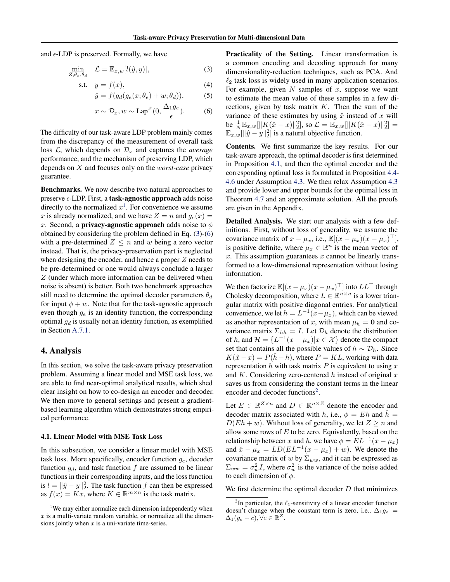and  $\epsilon$ -LDP is preserved. Formally, we have

$$
\min_{Z, \theta_e, \theta_d} \quad \mathcal{L} = \mathbb{E}_{x, w}[l(\hat{y}, y)], \tag{3}
$$

$$
s.t. \t y = f(x), \t(4)
$$

$$
\hat{y} = f(g_d(g_e(x; \theta_e) + w; \theta_d)), \tag{5}
$$

$$
x \sim \mathcal{D}_x, w \sim \text{Lap}^Z(0, \frac{\Delta_1 g_e}{\epsilon}).
$$
 (6)

The difficulty of our task-aware LDP problem mainly comes from the discrepancy of the measurement of overall task loss  $\mathcal{L}$ , which depends on  $\mathcal{D}_x$  and captures the *average* performance, and the mechanism of preserving LDP, which depends on X and focuses only on the *worst-case* privacy guarantee.

Benchmarks. We now describe two natural approaches to preserve  $\epsilon$ -LDP. First, a **task-agnostic approach** adds noise directly to the normalized  $x^1$  $x^1$ . For convenience we assume x is already normalized, and we have  $Z = n$  and  $g_e(x) =$ x. Second, a **privacy-agnostic approach** adds noise to  $\phi$ obtained by considering the problem defined in Eq. [\(3\)](#page-3-2)-[\(6\)](#page-3-3) with a pre-determined  $Z \leq n$  and w being a zero vector instead. That is, the privacy-preservation part is neglected when designing the encoder, and hence a proper  $Z$  needs to be pre-determined or one would always conclude a larger Z (under which more information can be delivered when noise is absent) is better. Both two benchmark approaches still need to determine the optimal decoder parameters  $\theta_d$ for input  $\phi + w$ . Note that for the task-agnostic approach even though  $g_e$  is an identity function, the corresponding optimal  $g_d$  is usually not an identity function, as exemplified in Section [A.7.1.](#page-14-0)

# <span id="page-3-0"></span>4. Analysis

In this section, we solve the task-aware privacy preservation problem. Assuming a linear model and MSE task loss, we are able to find near-optimal analytical results, which shed clear insight on how to co-design an encoder and decoder. We then move to general settings and present a gradientbased learning algorithm which demonstrates strong empirical performance.

### <span id="page-3-5"></span>4.1. Linear Model with MSE Task Loss

In this subsection, we consider a linear model with MSE task loss. More specifically, encoder function  $g_e$ , decoder function  $g_d$ , and task function f are assumed to be linear functions in their corresponding inputs, and the loss function is  $l = ||\hat{y} - y||_2^2$ . The task function f can then be expressed as  $f(x) = Kx$ , where  $K \in \mathbb{R}^{m \times n}$  is the task matrix.

<span id="page-3-2"></span>Practicality of the Setting. Linear transformation is a common encoding and decoding approach for many dimensionality-reduction techniques, such as PCA. And  $\ell_2$  task loss is widely used in many application scenarios. For example, given  $N$  samples of  $x$ , suppose we want to estimate the mean value of these samples in a few directions, given by task matrix  $K$ . Then the sum of the variance of these estimates by using  $\hat{x}$  instead of x will be  $\frac{1}{N} \mathbb{E}_{x,w} [\Vert K(\hat{x} - x) \Vert_2^2],$  so  $\mathcal{L} = \mathbb{E}_{x,w} [\Vert K(\hat{x} - x) \Vert_2^2] =$  $\mathbb{E}_{x,w}[\|\hat{y}-y\|_2^2]$  is a natural objective function.

<span id="page-3-3"></span>Contents. We first summarize the key results. For our task-aware approach, the optimal decoder is first determined in Proposition [4.1,](#page-4-0) and then the optimal encoder and the corresponding optimal loss is formulated in Proposition [4.4-](#page-4-1) [4.6](#page-5-0) under Assumption [4.3.](#page-4-2) We then relax Assumption [4.3](#page-4-2) and provide lower and upper bounds for the optimal loss in Theorem [4.7](#page-5-1) and an approximate solution. All the proofs are given in the Appendix.

Detailed Analysis. We start our analysis with a few definitions. First, without loss of generality, we assume the covariance matrix of  $x - \mu_x$ , i.e.,  $\mathbb{E}[(x - \mu_x)(x - \mu_x)^{\top}]$ , is positive definite, where  $\mu_x \in \mathbb{R}^n$  is the mean vector of  $x$ . This assumption guarantees  $x$  cannot be linearly transformed to a low-dimensional representation without losing information.

We then factorize  $\mathbb{E}[(x - \mu_x)(x - \mu_x)^{\top}]$  into  $LL^{\top}$  through Cholesky decomposition, where  $L \in \mathbb{R}^{n \times n}$  is a lower triangular matrix with positive diagonal entries. For analytical convenience, we let  $h = L^{-1}(x - \mu_x)$ , which can be viewed as another representation of x, with mean  $\mu_h = 0$  and covariance matrix  $\Sigma_{hh} = I$ . Let  $\mathcal{D}_h$  denote the distribution of h, and  $\mathcal{H} = \{L^{-1}(x - \mu_x)|x \in \mathcal{X}\}\$  denote the compact set that contains all the possible values of  $h \sim \mathcal{D}_h$ . Since  $K(\hat{x} - x) = P(h - h)$ , where  $P = KL$ , working with data representation h with task matrix  $P$  is equivalent to using  $x$ and  $K$ . Considering zero-centered  $h$  instead of original  $x$ saves us from considering the constant terms in the linear encoder and decoder functions<sup>[2](#page-3-4)</sup>.

Let  $E \in \mathbb{R}^{\mathbb{Z} \times n}$  and  $D \in \mathbb{R}^{n \times \mathbb{Z}}$  denote the encoder and decoder matrix associated with h, i.e.,  $\phi = Eh$  and  $\hat{h} =$  $D(Eh + w)$ . Without loss of generality, we let  $Z \ge n$  and allow some rows of  $E$  to be zero. Equivalently, based on the relationship between x and h, we have  $\phi = EL^{-1}(x - \mu_x)$ and  $\hat{x} - \mu_x = LD(EL^{-1}(x - \mu_x) + w)$ . We denote the covariance matrix of w by  $\Sigma_{ww}$ , and it can be expressed as  $\Sigma_{ww} = \sigma_w^2 I$ , where  $\sigma_w^2$  is the variance of the noise added to each dimension of  $\phi$ .

We first determine the optimal decoder  $D$  that minimizes

<span id="page-3-1"></span><sup>&</sup>lt;sup>1</sup>We may either normalize each dimension independently when  $x$  is a multi-variate random variable, or normalize all the dimensions jointly when  $x$  is a uni-variate time-series.

<span id="page-3-4"></span><sup>&</sup>lt;sup>2</sup>In particular, the  $\ell_1$ -sensitivity of a linear encoder function doesn't change when the constant term is zero, i.e.,  $\Delta_1 g_e$  =  $\Delta_1(g_e+c), \forall c \in \mathbb{R}^Z.$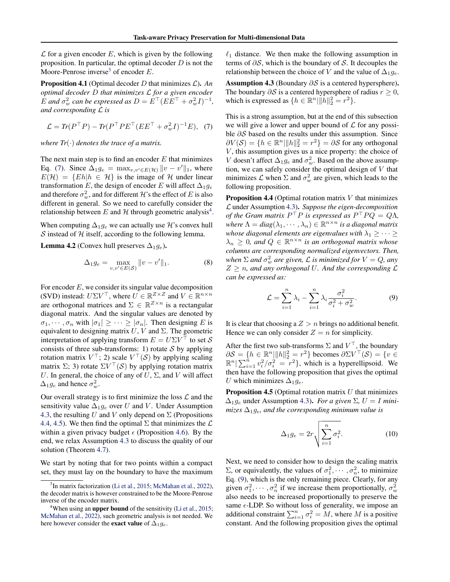$\mathcal L$  for a given encoder E, which is given by the following proposition. In particular, the optimal decoder  $D$  is not the Moore-Penrose inverse<sup>[3](#page-4-3)</sup> of encoder  $E$ .

<span id="page-4-0"></span>Proposition 4.1 (Optimal decoder D that minimizes L). *An optimal decoder* D *that minimizes* L *for a given encoder* E and  $\sigma_w^2$  can be expressed as  $D = E^{\top} (E E^{\top} + \sigma_w^2 I)^{-1}$ , *and corresponding* L *is*

$$
\mathcal{L} = Tr(P^{\top} P) - Tr(P^{\top} P E^{\top} (E E^{\top} + \sigma_w^2 I)^{-1} E), \quad (7)
$$

*where*  $Tr(\cdot)$  *denotes the trace of a matrix.* 

The next main step is to find an encoder  $E$  that minimizes Eq. [\(7\)](#page-4-4). Since  $\Delta_1 g_e = \max_{v,v' \in E(\mathcal{H})} ||v - v'||_1$ , where  $E(\mathcal{H}) = \{Eh | h \in \mathcal{H}\}\$ is the image of  $\mathcal{H}$  under linear transformation E, the design of encoder E will affect  $\Delta_1 g_e$ and therefore  $\sigma_w^2$ , and for different  $\mathcal H$ 's the effect of  $E$  is also different in general. So we need to carefully consider the relationship between E and H through geometric analysis<sup>[4](#page-4-5)</sup>.

When computing  $\Delta_1 g_e$  we can actually use H's convex hull S instead of  $H$  itself, according to the following lemma.

<span id="page-4-8"></span>**Lemma 4.2** (Convex hull preserves  $\Delta_1 g_e$ ).

$$
\Delta_1 g_e = \max_{v,v' \in E(\mathcal{S})} ||v - v'||_1.
$$
 (8)

For encoder E, we consider its singular value decomposition (SVD) instead:  $U\Sigma V^{\top}$ , where  $U \in \mathbb{R}^{Z \times Z}$  and  $V \in \mathbb{R}^{n \times n}$ are orthogonal matrices and  $\Sigma \in \mathbb{R}^{Z \times n}$  is a rectangular diagonal matrix. And the singular values are denoted by  $\sigma_1, \dots, \sigma_n$  with  $|\sigma_1| \geq \dots \geq |\sigma_n|$ . Then designing E is equivalent to designing matrix U, V and  $\Sigma$ . The geometric interpretation of applying transform  $E = U\Sigma V^{\top}$  to set S consists of three sub-transforms: 1) rotate  $S$  by applying rotation matrix  $V^{\top}$ ; 2) scale  $V^{\top}(\mathcal{S})$  by applying scaling matrix  $\Sigma$ ; 3) rotate  $\Sigma V^{\top}(\mathcal{S})$  by applying rotation matrix U. In general, the choice of any of  $U$ ,  $\Sigma$ , and  $V$  will affect  $\Delta_1 g_e$  and hence  $\sigma_w^2$ .

Our overall strategy is to first minimize the loss  $\mathcal L$  and the sensitivity value  $\Delta_{1}g_{e}$  over U and V. Under Assumption [4.3,](#page-4-2) the resulting U and V only depend on  $\Sigma$  (Propositions [4.4,](#page-4-1) [4.5\)](#page-4-6). We then find the optimal  $\Sigma$  that minimizes the  $\mathcal L$ within a given privacy budget  $\epsilon$  (Proposition [4.6\)](#page-5-0). By the end, we relax Assumption [4.3](#page-4-2) to discuss the quality of our solution (Theorem [4.7\)](#page-5-1).

We start by noting that for two points within a compact set, they must lay on the boundary to have the maximum  $\ell_1$  distance. We then make the following assumption in terms of  $\partial S$ , which is the boundary of S. It decouples the relationship between the choice of V and the value of  $\Delta_1 g_e$ .

<span id="page-4-2"></span>Assumption 4.3 (Boundary  $\partial S$  is a centered hypersphere). The boundary  $\partial S$  is a centered hypersphere of radius  $r \geq 0$ , which is expressed as  $\{h \in \mathbb{R}^n \mid ||h||_2^2 = r^2\}.$ 

<span id="page-4-4"></span>This is a strong assumption, but at the end of this subsection we will give a lower and upper bound of  $\mathcal L$  for any possible ∂S based on the results under this assumption. Since  $\partial V(\mathcal{S}) = \{ h \in \mathbb{R}^n \vert \Vert h \Vert_2^2 = r^2 \} = \partial \mathcal{S}$  for any orthogonal  $V$ , this assumption gives us a nice property: the choice of V doesn't affect  $\Delta_1 g_e$  and  $\sigma_w^2$ . Based on the above assumption, we can safely consider the optimal design of  $V$  that minimizes  $\mathcal L$  when  $\Sigma$  and  $\sigma_w^2$  are given, which leads to the following proposition.

<span id="page-4-1"></span>**Proposition 4.4** (Optimal rotation matrix  $V$  that minimizes L under Assumption [4.3\)](#page-4-2). *Suppose the eigen-decomposition of the Gram matrix*  $P^{\top}P$  *is expressed as*  $P^{\top}PQ = Q\Lambda$ , where  $\Lambda = diag(\lambda_1, \dots, \lambda_n) \in \mathbb{R}^{n \times n}$  *is a diagonal matrix whose diagonal elements are eigenvalues with*  $\lambda_1 \geq \cdots \geq$  $\lambda_n \geq 0$ , and  $Q \in \mathbb{R}^{n \times n}$  is an orthogonal matrix whose *columns are corresponding normalized eigenvectors. Then,* when  $\Sigma$  and  $\sigma_w^2$  are given,  ${\cal L}$  is minimized for  $V=Q$ , any  $Z \geq n$ , and any orthogonal U. And the corresponding  $\mathcal{L}$ *can be expressed as:*

<span id="page-4-7"></span>
$$
\mathcal{L} = \sum_{i=1}^{n} \lambda_i - \sum_{i=1}^{n} \lambda_i \frac{\sigma_i^2}{\sigma_i^2 + \sigma_w^2}.
$$
 (9)

It is clear that choosing a  $Z > n$  brings no additional benefit. Hence we can only consider  $Z = n$  for simplicity.

After the first two sub-transforms  $\Sigma$  and  $V^{\top}$ , the boundary  $\partial S = \{h \in \mathbb{R}^n \|\|h\|_2^2 = r^2\}$  becomes  $\partial \Sigma V^\top(S) = \{v \in \mathbb{R}^n\}$  $\mathbb{R}^n | \sum_{i=1}^n v_i^2 / \sigma_i^2 = r^2$ , which is a hyperellipsoid. We then have the following proposition that gives the optimal U which minimizes  $\Delta_1 q_e$ .

<span id="page-4-6"></span>**Proposition 4.5** (Optimal rotation matrix  $U$  that minimizes  $\Delta_{1}g_{e}$  under Assumption [4.3\)](#page-4-2). *For a given*  $\Sigma$ ,  $U = I$  *minimizes*  $\Delta_1 g_e$ *, and the corresponding minimum value is* 

<span id="page-4-9"></span>
$$
\Delta_1 g_e = 2r \sqrt{\sum_{i=1}^n \sigma_i^2}.
$$
 (10)

Next, we need to consider how to design the scaling matrix  $\Sigma$ , or equivalently, the values of  $\sigma_1^2, \cdots, \sigma_n^2$ , to minimize Eq. [\(9\)](#page-4-7), which is the only remaining piece. Clearly, for any given  $\sigma_1^2, \cdots, \sigma_n^2$  if we increase them proportionally,  $\sigma_w^2$ also needs to be increased proportionally to preserve the same  $\epsilon$ -LDP. So without loss of generality, we impose an additional constraint  $\sum_{i=1}^{n} \sigma_i^2 = M$ , where M is a positive constant. And the following proposition gives the optimal

<span id="page-4-3"></span><sup>&</sup>lt;sup>3</sup>In matrix factorization [\(Li et al.,](#page-9-15) [2015;](#page-9-15) [McMahan et al.,](#page-9-16) [2022\)](#page-9-16), the decoder matrix is however constrained to be the Moore-Penrose inverse of the encoder matrix.

<span id="page-4-5"></span>When using an **upper bound** of the sensitivity [\(Li et al.,](#page-9-15) [2015;](#page-9-15) [McMahan et al.,](#page-9-16) [2022\)](#page-9-16), such geometric analysis is not needed. We here however consider the **exact value** of  $\Delta_1 g_e$ .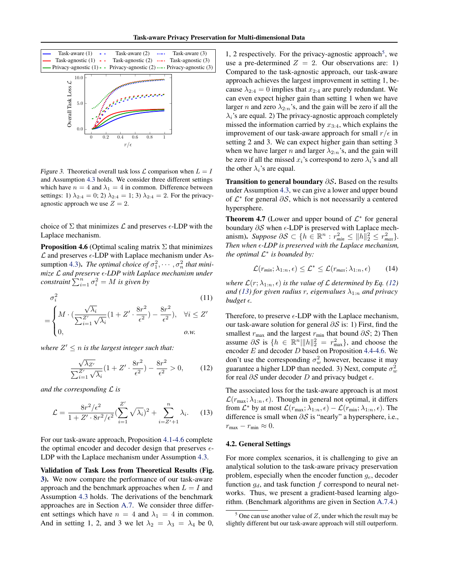

<span id="page-5-2"></span>Figure 3. Theoretical overall task loss  $\mathcal L$  comparison when  $L = I$ and Assumption [4.3](#page-4-2) holds. We consider three different settings which have  $n = 4$  and  $\lambda_1 = 4$  in common. Difference between settings: 1)  $\lambda_{2:4} = 0$ ; 2)  $\lambda_{2:4} = 1$ ; 3)  $\lambda_{2:4} = 2$ . For the privacyagnostic approach we use  $Z = 2$ .

choice of  $\Sigma$  that minimizes  $\mathcal L$  and preserves  $\epsilon$ -LDP with the Laplace mechanism.

<span id="page-5-0"></span>**Proposition 4.6** (Optimal scaling matrix  $\Sigma$  that minimizes  $\mathcal L$  and preserves  $\epsilon$ -LDP with Laplace mechanism under As-sumption [4.3\)](#page-4-2). *The optimal choice of*  $\sigma_1^2, \cdots, \sigma_n^2$  *that minimize* L *and preserve -LDP with Laplace mechanism under constraint*  $\sum_{i=1}^{n} \sigma_i^2 = M$  *is given by* 

$$
\sigma_i^2
$$
\n
$$
= \begin{cases}\nM \cdot \left(\frac{\sqrt{\lambda_i}}{\sum_{i=1}^{Z'} \sqrt{\lambda_i}} (1 + Z' \cdot \frac{8r^2}{\epsilon^2}) - \frac{8r^2}{\epsilon^2}\right), & \forall i \le Z' \\
0, & \text{ o.w.} \n\end{cases}
$$
\n(11)

where  $Z' \leq n$  *is the largest integer such that:* 

$$
\frac{\sqrt{\lambda_{Z'}}}{\sum_{i=1}^{Z'} \sqrt{\lambda_i}} (1 + Z' \cdot \frac{8r^2}{\epsilon^2}) - \frac{8r^2}{\epsilon^2} > 0,
$$
 (12)

*and the corresponding* L *is*

$$
\mathcal{L} = \frac{8r^2/\epsilon^2}{1 + Z' \cdot 8r^2/\epsilon^2} \left(\sum_{i=1}^{Z'} \sqrt{\lambda_i}\right)^2 + \sum_{i=Z'+1}^{n} \lambda_i. \tag{13}
$$

For our task-aware approach, Proposition [4.1-](#page-4-0)[4.6](#page-5-0) complete the optimal encoder and decoder design that preserves  $\epsilon$ -LDP with the Laplace mechanism under Assumption [4.3.](#page-4-2)

Validation of Task Loss from Theoretical Results (Fig. [3\)](#page-5-2). We now compare the performance of our task-aware approach and the benchmark approaches when  $L = I$  and Assumption [4.3](#page-4-2) holds. The derivations of the benchmark approaches are in Section [A.7.](#page-14-1) We consider three different settings which have  $n = 4$  and  $\lambda_1 = 4$  in common. And in setting 1, 2, and 3 we let  $\lambda_2 = \lambda_3 = \lambda_4$  be 0,

1, 2 respectively. For the privacy-agnostic approach<sup>[5](#page-5-3)</sup>, we use a pre-determined  $Z = 2$ . Our observations are: 1) Compared to the task-agnostic approach, our task-aware approach achieves the largest improvement in setting 1, because  $\lambda_{2:4} = 0$  implies that  $x_{2:4}$  are purely redundant. We can even expect higher gain than setting 1 when we have larger *n* and zero  $\lambda_{2:n}$ 's, and the gain will be zero if all the  $\lambda_i$ 's are equal. 2) The privacy-agnostic approach completely missed the information carried by  $x_{3:4}$ , which explains the improvement of our task-aware approach for small  $r/\epsilon$  in setting 2 and 3. We can expect higher gain than setting 3 when we have larger n and larger  $\lambda_{2:n}$ 's, and the gain will be zero if all the missed  $x_i$ 's correspond to zero  $\lambda_i$ 's and all the other  $\lambda_i$ 's are equal.

Transition to general boundary ∂S. Based on the results under Assumption [4.3,](#page-4-2) we can give a lower and upper bound of  $\mathcal{L}^*$  for general  $\partial \mathcal{S}$ , which is not necessarily a centered hypersphere.

<span id="page-5-1"></span>**Theorem 4.7** (Lower and upper bound of  $\mathcal{L}^*$  for general boundary  $\partial S$  when  $\epsilon$ -LDP is preserved with Laplace mechanism). *Suppose*  $\partial S \subset \{ h \in \mathbb{R}^n : r_{\min}^2 \le ||h||_2^2 \le r_{\max}^2 \}.$ *Then when -LDP is preserved with the Laplace mechanism, the optimal*  $\mathcal{L}^*$  *is bounded by:* 

$$
\mathcal{L}(r_{min}; \lambda_{1:n}, \epsilon) \leq \mathcal{L}^* \leq \mathcal{L}(r_{max}; \lambda_{1:n}, \epsilon)
$$
 (14)

<span id="page-5-7"></span>*where*  $\mathcal{L}(r; \lambda_{1:n}, \epsilon)$  *is the value of*  $\mathcal{L}$  *determined by Eq.* [\(12\)](#page-5-4) *and [\(13\)](#page-5-5)* for given radius r, eigenvalues  $\lambda_{1:n}$  and privacy *budget*  $\epsilon$ *.* 

Therefore, to preserve  $\epsilon$ -LDP with the Laplace mechanism, our task-aware solution for general  $\partial S$  is: 1) First, find the smallest  $r_{\text{max}}$  and the largest  $r_{\text{min}}$  that bound  $\partial S$ ; 2) Then assume  $\partial S$  is  $\{h \in \mathbb{R}^n \|\|h\|_2^2 = r_{\text{max}}^2\}$ , and choose the encoder  $E$  and decoder  $D$  based on Proposition [4.4-](#page-4-1)[4.6.](#page-5-0) We don't use the corresponding  $\sigma_w^2$  however, because it may guarantee a higher LDP than needed. 3) Next, compute  $\sigma_w^2$ for real  $\partial S$  under decoder D and privacy budget  $\epsilon$ .

<span id="page-5-5"></span><span id="page-5-4"></span>The associated loss for the task-aware approach is at most  $\mathcal{L}(r_{\text{max}}; \lambda_{1:n}, \epsilon)$ . Though in general not optimal, it differs from  $\mathcal{L}^*$  by at most  $\mathcal{L}(r_{\text{max}}; \lambda_{1:n}, \epsilon) - \mathcal{L}(r_{\text{min}}; \lambda_{1:n}, \epsilon)$ . The difference is small when  $\partial S$  is "nearly" a hypersphere, i.e.,  $r_{\text{max}} - r_{\text{min}} \approx 0.$ 

#### <span id="page-5-6"></span>4.2. General Settings

For more complex scenarios, it is challenging to give an analytical solution to the task-aware privacy preservation problem, especially when the encoder function  $g_e$ , decoder function  $g_d$ , and task function f correspond to neural networks. Thus, we present a gradient-based learning algorithm. (Benchmark algorithms are given in Section [A.7.4.](#page-15-0))

<span id="page-5-3"></span> $5$  One can use another value of Z, under which the result may be slightly different but our task-aware approach will still outperform.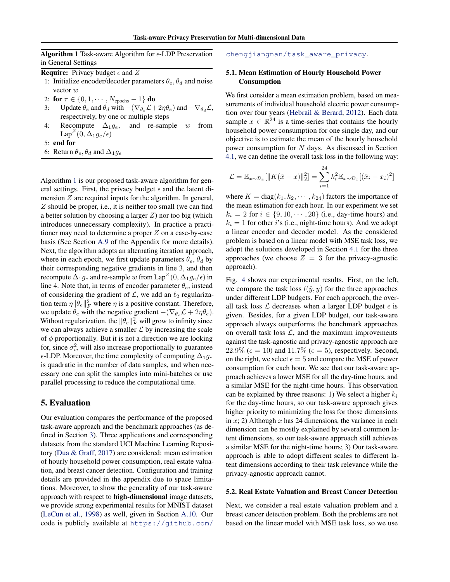**Algorithm 1** Task-aware Algorithm for  $\epsilon$ -LDP Preservation in General Settings

- <span id="page-6-1"></span>**Require:** Privacy budget  $\epsilon$  and Z
- 1: Initialize encoder/decoder parameters  $\theta_e$ ,  $\theta_d$  and noise vector w
- 2: for  $\tau \in \{0, 1, \cdots, N_{\text{epochs}} 1\}$  do
- 3: Update  $\theta_e$  and  $\theta_d$  with  $-(\nabla_{\theta_e} \mathcal{L} + 2\eta \theta_e)$  and  $-\nabla_{\theta_d} \mathcal{L}$ , respectively, by one or multiple steps
- 4: Recompute  $\Delta_1 g_e$ , and re-sample w from Lap<sup> $Z$ </sup> $(0, \Delta_1 g_e/\epsilon)$
- 5: end for
- 6: Return  $\theta_e$ ,  $\theta_d$  and  $\Delta_1 g_e$

Algorithm [1](#page-6-1) is our proposed task-aware algorithm for general settings. First, the privacy budget  $\epsilon$  and the latent dimension  $Z$  are required inputs for the algorithm. In general, Z should be proper, i.e., it is neither too small (we can find a better solution by choosing a larger  $Z$ ) nor too big (which introduces unnecessary complexity). In practice a practitioner may need to determine a proper  $Z$  on a case-by-case basis (See Section [A.9](#page-16-0) of the Appendix for more details). Next, the algorithm adopts an alternating iteration approach, where in each epoch, we first update parameters  $\theta_e$ ,  $\theta_d$  by their corresponding negative gradients in line 3, and then recompute  $\Delta_1 g_e$  and re-sample w from  $\mathrm{Lap}^Z(0,\Delta_1 g_e/\epsilon)$  in line 4. Note that, in terms of encoder parameter  $\theta_e$ , instead of considering the gradient of  $\mathcal{L}$ , we add an  $\ell_2$  regularization term  $\eta \|\theta_e\|_F^2$  where  $\eta$  is a positive constant. Therefore, we update  $\theta_e$  with the negative gradient  $-(\nabla_{\theta_e} \mathcal{L} + 2\eta \theta_e)$ . Without regularization, the  $\|\theta_e\|_F^2$  will grow to infinity since we can always achieve a smaller  $\mathcal L$  by increasing the scale of  $\phi$  proportionally. But it is not a direction we are looking for, since  $\sigma_w^2$  will also increase proportionally to guarantee  $\epsilon$ -LDP. Moreover, the time complexity of computing  $\Delta_1 g_e$ is quadratic in the number of data samples, and when necessary one can split the samples into mini-batches or use parallel processing to reduce the computational time.

#### <span id="page-6-0"></span>5. Evaluation

Our evaluation compares the performance of the proposed task-aware approach and the benchmark approaches (as defined in Section [3\)](#page-2-0). Three applications and corresponding datasets from the standard UCI Machine Learning Repository [\(Dua & Graff,](#page-8-17) [2017\)](#page-8-17) are considered: mean estimation of hourly household power consumption, real estate valuation, and breast cancer detection. Configuration and training details are provided in the appendix due to space limitations. Moreover, to show the generality of our task-aware approach with respect to high-dimensional image datasets, we provide strong experimental results for MNIST dataset [\(LeCun et al.,](#page-9-22) [1998\)](#page-9-22) as well, given in Section [A.10.](#page-16-1) Our code is publicly available at [https://github.com/](https://github.com/chengjiangnan/task_aware_privacy)

[chengjiangnan/task\\_aware\\_privacy](https://github.com/chengjiangnan/task_aware_privacy).

### 5.1. Mean Estimation of Hourly Household Power Consumption

We first consider a mean estimation problem, based on measurements of individual household electric power consumption over four years [\(Hebrail & Berard,](#page-9-23) [2012\)](#page-9-23). Each data sample  $x \in \mathbb{R}^{24}$  is a time-series that contains the hourly household power consumption for one single day, and our objective is to estimate the mean of the hourly household power consumption for N days. As discussed in Section [4.1,](#page-3-5) we can define the overall task loss in the following way:

$$
\mathcal{L} = \mathbb{E}_{x \sim \mathcal{D}_x} [\|K(\hat{x} - x)\|_2^2] = \sum_{i=1}^{24} k_i^2 \mathbb{E}_{x \sim \mathcal{D}_x} [(\hat{x}_i - x_i)^2]
$$

where  $K = diag(k_1, k_2, \dots, k_{24})$  factors the importance of the mean estimation for each hour. In our experiment we set  $k_i = 2$  for  $i \in \{9, 10, \dots, 20\}$  (i.e., day-time hours) and  $k_i = 1$  for other i's (i.e., night-time hours). And we adopt a linear encoder and decoder model. As the considered problem is based on a linear model with MSE task loss, we adopt the solutions developed in Section [4.1](#page-3-5) for the three approaches (we choose  $Z = 3$  for the privacy-agnostic approach).

Fig. [4](#page-7-0) shows our experimental results. First, on the left, we compare the task loss  $l(\hat{y}, y)$  for the three approaches under different LDP budgets. For each approach, the overall task loss  $\mathcal L$  decreases when a larger LDP budget  $\epsilon$  is given. Besides, for a given LDP budget, our task-aware approach always outperforms the benchmark approaches on overall task loss  $\mathcal{L}$ , and the maximum improvements against the task-agnostic and privacy-agnostic approach are  $22.9\%$  ( $\epsilon = 10$ ) and  $11.7\%$  ( $\epsilon = 5$ ), respectively. Second, on the right, we select  $\epsilon = 5$  and compare the MSE of power consumption for each hour. We see that our task-aware approach achieves a lower MSE for all the day-time hours, and a similar MSE for the night-time hours. This observation can be explained by three reasons: 1) We select a higher  $k_i$ for the day-time hours, so our task-aware approach gives higher priority to minimizing the loss for those dimensions in  $x$ ; 2) Although  $x$  has 24 dimensions, the variance in each dimension can be mostly explained by several common latent dimensions, so our task-aware approach still achieves a similar MSE for the night-time hours; 3) Our task-aware approach is able to adopt different scales to different latent dimensions according to their task relevance while the privacy-agnostic approach cannot.

#### 5.2. Real Estate Valuation and Breast Cancer Detection

Next, we consider a real estate valuation problem and a breast cancer detection problem. Both the problems are not based on the linear model with MSE task loss, so we use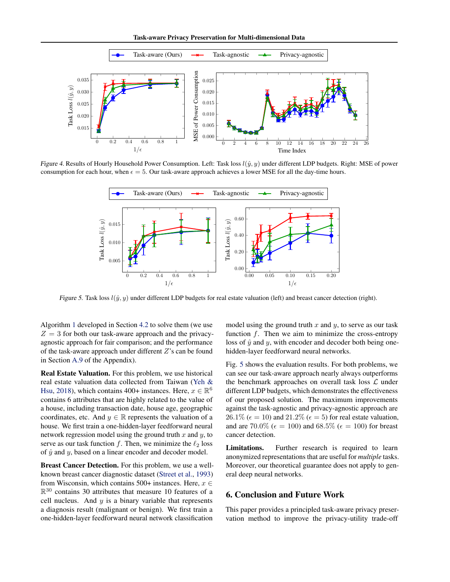Task-aware Privacy Preservation for Multi-dimensional Data



<span id="page-7-0"></span>Figure 4. Results of Hourly Household Power Consumption. Left: Task loss  $l(\hat{y}, y)$  under different LDP budgets. Right: MSE of power consumption for each hour, when  $\epsilon = 5$ . Our task-aware approach achieves a lower MSE for all the day-time hours.



<span id="page-7-1"></span>Figure 5. Task loss  $l(\hat{y}, y)$  under different LDP budgets for real estate valuation (left) and breast cancer detection (right).

Algorithm [1](#page-6-1) developed in Section [4.2](#page-5-6) to solve them (we use  $Z = 3$  for both our task-aware approach and the privacyagnostic approach for fair comparison; and the performance of the task-aware approach under different  $Z$ 's can be found in Section [A.9](#page-16-0) of the Appendix).

Real Estate Valuation. For this problem, we use historical real estate valuation data collected from Taiwan [\(Yeh &](#page-10-16) [Hsu,](#page-10-16) [2018\)](#page-10-16), which contains 400+ instances. Here,  $x \in \mathbb{R}^6$ contains 6 attributes that are highly related to the value of a house, including transaction date, house age, geographic coordinates, etc. And  $y \in \mathbb{R}$  represents the valuation of a house. We first train a one-hidden-layer feedforward neural network regression model using the ground truth  $x$  and  $y$ , to serve as our task function f. Then, we minimize the  $\ell_2$  loss of  $\hat{y}$  and  $y$ , based on a linear encoder and decoder model.

Breast Cancer Detection. For this problem, we use a wellknown breast cancer diagnostic dataset [\(Street et al.,](#page-10-17) [1993\)](#page-10-17) from Wisconsin, which contains 500+ instances. Here,  $x \in$  $\mathbb{R}^{30}$  contains 30 attributes that measure 10 features of a cell nucleus. And  $y$  is a binary variable that represents a diagnosis result (malignant or benign). We first train a one-hidden-layer feedforward neural network classification

model using the ground truth  $x$  and  $y$ , to serve as our task function  $f$ . Then we aim to minimize the cross-entropy loss of  $\hat{y}$  and y, with encoder and decoder both being onehidden-layer feedforward neural networks.

Fig. [5](#page-7-1) shows the evaluation results. For both problems, we can see our task-aware approach nearly always outperforms the benchmark approaches on overall task loss  $\mathcal L$  under different LDP budgets, which demonstrates the effectiveness of our proposed solution. The maximum improvements against the task-agnostic and privacy-agnostic approach are  $26.1\%$  ( $\epsilon = 10$ ) and  $21.2\%$  ( $\epsilon = 5$ ) for real estate valuation, and are 70.0% ( $\epsilon = 100$ ) and 68.5% ( $\epsilon = 100$ ) for breast cancer detection.

Limitations. Further research is required to learn anonymized representations that are useful for *multiple* tasks. Moreover, our theoretical guarantee does not apply to general deep neural networks.

# 6. Conclusion and Future Work

This paper provides a principled task-aware privacy preservation method to improve the privacy-utility trade-off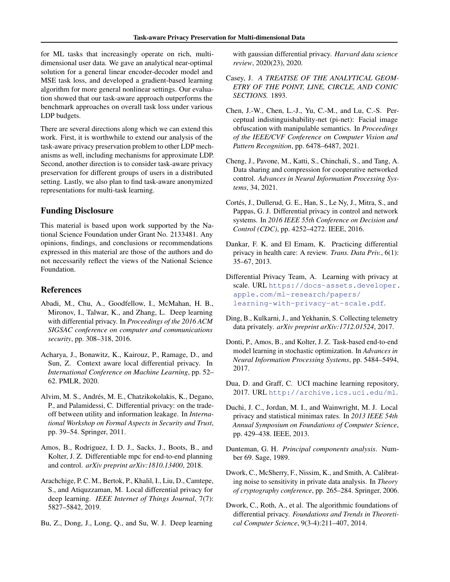for ML tasks that increasingly operate on rich, multidimensional user data. We gave an analytical near-optimal solution for a general linear encoder-decoder model and MSE task loss, and developed a gradient-based learning algorithm for more general nonlinear settings. Our evaluation showed that our task-aware approach outperforms the benchmark approaches on overall task loss under various LDP budgets.

There are several directions along which we can extend this work. First, it is worthwhile to extend our analysis of the task-aware privacy preservation problem to other LDP mechanisms as well, including mechanisms for approximate LDP. Second, another direction is to consider task-aware privacy preservation for different groups of users in a distributed setting. Lastly, we also plan to find task-aware anonymized representations for multi-task learning.

# Funding Disclosure

This material is based upon work supported by the National Science Foundation under Grant No. 2133481. Any opinions, findings, and conclusions or recommendations expressed in this material are those of the authors and do not necessarily reflect the views of the National Science Foundation.

## References

- <span id="page-8-14"></span>Abadi, M., Chu, A., Goodfellow, I., McMahan, H. B., Mironov, I., Talwar, K., and Zhang, L. Deep learning with differential privacy. In *Proceedings of the 2016 ACM SIGSAC conference on computer and communications security*, pp. 308–318, 2016.
- <span id="page-8-10"></span>Acharya, J., Bonawitz, K., Kairouz, P., Ramage, D., and Sun, Z. Context aware local differential privacy. In *International Conference on Machine Learning*, pp. 52– 62. PMLR, 2020.
- <span id="page-8-8"></span>Alvim, M. S., Andrés, M. E., Chatzikokolakis, K., Degano, P., and Palamidessi, C. Differential privacy: on the tradeoff between utility and information leakage. In *International Workshop on Formal Aspects in Security and Trust*, pp. 39–54. Springer, 2011.
- <span id="page-8-13"></span>Amos, B., Rodriguez, I. D. J., Sacks, J., Boots, B., and Kolter, J. Z. Differentiable mpc for end-to-end planning and control. *arXiv preprint arXiv:1810.13400*, 2018.
- <span id="page-8-15"></span>Arachchige, P. C. M., Bertok, P., Khalil, I., Liu, D., Camtepe, S., and Atiquzzaman, M. Local differential privacy for deep learning. *IEEE Internet of Things Journal*, 7(7): 5827–5842, 2019.
- <span id="page-8-16"></span>Bu, Z., Dong, J., Long, Q., and Su, W. J. Deep learning

with gaussian differential privacy. *Harvard data science review*, 2020(23), 2020.

- <span id="page-8-18"></span>Casey, J. *A TREATISE OF THE ANALYTICAL GEOM-ETRY OF THE POINT, LINE, CIRCLE, AND CONIC SECTIONS.* 1893.
- <span id="page-8-11"></span>Chen, J.-W., Chen, L.-J., Yu, C.-M., and Lu, C.-S. Perceptual indistinguishability-net (pi-net): Facial image obfuscation with manipulable semantics. In *Proceedings of the IEEE/CVF Conference on Computer Vision and Pattern Recognition*, pp. 6478–6487, 2021.
- <span id="page-8-6"></span>Cheng, J., Pavone, M., Katti, S., Chinchali, S., and Tang, A. Data sharing and compression for cooperative networked control. *Advances in Neural Information Processing Systems*, 34, 2021.
- <span id="page-8-5"></span>Cortés, J., Dullerud, G. E., Han, S., Le Ny, J., Mitra, S., and Pappas, G. J. Differential privacy in control and network systems. In *2016 IEEE 55th Conference on Decision and Control (CDC)*, pp. 4252–4272. IEEE, 2016.
- <span id="page-8-4"></span>Dankar, F. K. and El Emam, K. Practicing differential privacy in health care: A review. *Trans. Data Priv.*, 6(1): 35–67, 2013.
- <span id="page-8-2"></span>Differential Privacy Team, A. Learning with privacy at scale. URL [https://docs-assets.developer.](https://docs-assets.developer.apple.com/ml-research/papers/learning-with-privacy-at-scale.pdf) [apple.com/ml-research/papers/](https://docs-assets.developer.apple.com/ml-research/papers/learning-with-privacy-at-scale.pdf) [learning-with-privacy-at-scale.pdf](https://docs-assets.developer.apple.com/ml-research/papers/learning-with-privacy-at-scale.pdf).
- <span id="page-8-3"></span>Ding, B., Kulkarni, J., and Yekhanin, S. Collecting telemetry data privately. *arXiv preprint arXiv:1712.01524*, 2017.
- <span id="page-8-12"></span>Donti, P., Amos, B., and Kolter, J. Z. Task-based end-to-end model learning in stochastic optimization. In *Advances in Neural Information Processing Systems*, pp. 5484–5494, 2017.
- <span id="page-8-17"></span>Dua, D. and Graff, C. UCI machine learning repository, 2017. URL <http://archive.ics.uci.edu/ml>.
- <span id="page-8-9"></span>Duchi, J. C., Jordan, M. I., and Wainwright, M. J. Local privacy and statistical minimax rates. In *2013 IEEE 54th Annual Symposium on Foundations of Computer Science*, pp. 429–438. IEEE, 2013.
- <span id="page-8-7"></span>Dunteman, G. H. *Principal components analysis*. Number 69. Sage, 1989.
- <span id="page-8-0"></span>Dwork, C., McSherry, F., Nissim, K., and Smith, A. Calibrating noise to sensitivity in private data analysis. In *Theory of cryptography conference*, pp. 265–284. Springer, 2006.
- <span id="page-8-1"></span>Dwork, C., Roth, A., et al. The algorithmic foundations of differential privacy. *Foundations and Trends in Theoretical Computer Science*, 9(3-4):211–407, 2014.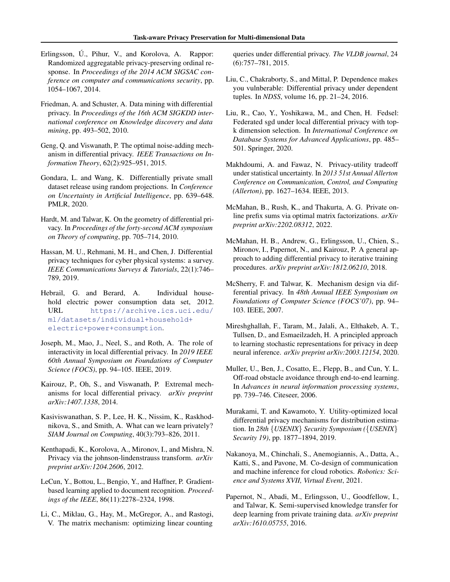- <span id="page-9-1"></span>Erlingsson, U., Pihur, V., and Korolova, A. Rappor: Randomized aggregatable privacy-preserving ordinal response. In *Proceedings of the 2014 ACM SIGSAC conference on computer and communications security*, pp. 1054–1067, 2014.
- <span id="page-9-8"></span>Friedman, A. and Schuster, A. Data mining with differential privacy. In *Proceedings of the 16th ACM SIGKDD international conference on Knowledge discovery and data mining*, pp. 493–502, 2010.
- <span id="page-9-10"></span>Geng, Q. and Viswanath, P. The optimal noise-adding mechanism in differential privacy. *IEEE Transactions on Information Theory*, 62(2):925–951, 2015.
- <span id="page-9-13"></span>Gondara, L. and Wang, K. Differentially private small dataset release using random projections. In *Conference on Uncertainty in Artificial Intelligence*, pp. 639–648. PMLR, 2020.
- <span id="page-9-6"></span>Hardt, M. and Talwar, K. On the geometry of differential privacy. In *Proceedings of the forty-second ACM symposium on Theory of computing*, pp. 705–714, 2010.
- <span id="page-9-2"></span>Hassan, M. U., Rehmani, M. H., and Chen, J. Differential privacy techniques for cyber physical systems: a survey. *IEEE Communications Surveys & Tutorials*, 22(1):746– 789, 2019.
- <span id="page-9-23"></span>Hebrail, G. and Berard, A. Individual household electric power consumption data set, 2012. URL [https://archive.ics.uci.edu/](https://archive.ics.uci.edu/ml/datasets/individual+household+electric+power+consumption) [ml/datasets/individual+household+](https://archive.ics.uci.edu/ml/datasets/individual+household+electric+power+consumption) [electric+power+consumption](https://archive.ics.uci.edu/ml/datasets/individual+household+electric+power+consumption).
- <span id="page-9-12"></span>Joseph, M., Mao, J., Neel, S., and Roth, A. The role of interactivity in local differential privacy. In *2019 IEEE 60th Annual Symposium on Foundations of Computer Science (FOCS)*, pp. 94–105. IEEE, 2019.
- <span id="page-9-9"></span>Kairouz, P., Oh, S., and Viswanath, P. Extremal mechanisms for local differential privacy. *arXiv preprint arXiv:1407.1338*, 2014.
- <span id="page-9-0"></span>Kasiviswanathan, S. P., Lee, H. K., Nissim, K., Raskhodnikova, S., and Smith, A. What can we learn privately? *SIAM Journal on Computing*, 40(3):793–826, 2011.
- <span id="page-9-4"></span>Kenthapadi, K., Korolova, A., Mironov, I., and Mishra, N. Privacy via the johnson-lindenstrauss transform. *arXiv preprint arXiv:1204.2606*, 2012.
- <span id="page-9-22"></span>LeCun, Y., Bottou, L., Bengio, Y., and Haffner, P. Gradientbased learning applied to document recognition. *Proceedings of the IEEE*, 86(11):2278–2324, 1998.
- <span id="page-9-15"></span>Li, C., Miklau, G., Hay, M., McGregor, A., and Rastogi, V. The matrix mechanism: optimizing linear counting

queries under differential privacy. *The VLDB journal*, 24 (6):757–781, 2015.

- <span id="page-9-11"></span>Liu, C., Chakraborty, S., and Mittal, P. Dependence makes you vulnberable: Differential privacy under dependent tuples. In *NDSS*, volume 16, pp. 21–24, 2016.
- <span id="page-9-20"></span>Liu, R., Cao, Y., Yoshikawa, M., and Chen, H. Fedsel: Federated sgd under local differential privacy with topk dimension selection. In *International Conference on Database Systems for Advanced Applications*, pp. 485– 501. Springer, 2020.
- <span id="page-9-5"></span>Makhdoumi, A. and Fawaz, N. Privacy-utility tradeoff under statistical uncertainty. In *2013 51st Annual Allerton Conference on Communication, Control, and Computing (Allerton)*, pp. 1627–1634. IEEE, 2013.
- <span id="page-9-16"></span>McMahan, B., Rush, K., and Thakurta, A. G. Private online prefix sums via optimal matrix factorizations. *arXiv preprint arXiv:2202.08312*, 2022.
- <span id="page-9-19"></span>McMahan, H. B., Andrew, G., Erlingsson, U., Chien, S., Mironov, I., Papernot, N., and Kairouz, P. A general approach to adding differential privacy to iterative training procedures. *arXiv preprint arXiv:1812.06210*, 2018.
- <span id="page-9-7"></span>McSherry, F. and Talwar, K. Mechanism design via differential privacy. In *48th Annual IEEE Symposium on Foundations of Computer Science (FOCS'07)*, pp. 94– 103. IEEE, 2007.
- <span id="page-9-21"></span>Mireshghallah, F., Taram, M., Jalali, A., Elthakeb, A. T., Tullsen, D., and Esmaeilzadeh, H. A principled approach to learning stochastic representations for privacy in deep neural inference. *arXiv preprint arXiv:2003.12154*, 2020.
- <span id="page-9-17"></span>Muller, U., Ben, J., Cosatto, E., Flepp, B., and Cun, Y. L. Off-road obstacle avoidance through end-to-end learning. In *Advances in neural information processing systems*, pp. 739–746. Citeseer, 2006.
- <span id="page-9-14"></span>Murakami, T. and Kawamoto, Y. Utility-optimized local differential privacy mechanisms for distribution estimation. In *28th* {*USENIX*} *Security Symposium (*{*USENIX*} *Security 19)*, pp. 1877–1894, 2019.
- <span id="page-9-3"></span>Nakanoya, M., Chinchali, S., Anemogiannis, A., Datta, A., Katti, S., and Pavone, M. Co-design of communication and machine inference for cloud robotics. *Robotics: Science and Systems XVII, Virtual Event*, 2021.
- <span id="page-9-18"></span>Papernot, N., Abadi, M., Erlingsson, U., Goodfellow, I., and Talwar, K. Semi-supervised knowledge transfer for deep learning from private training data. *arXiv preprint arXiv:1610.05755*, 2016.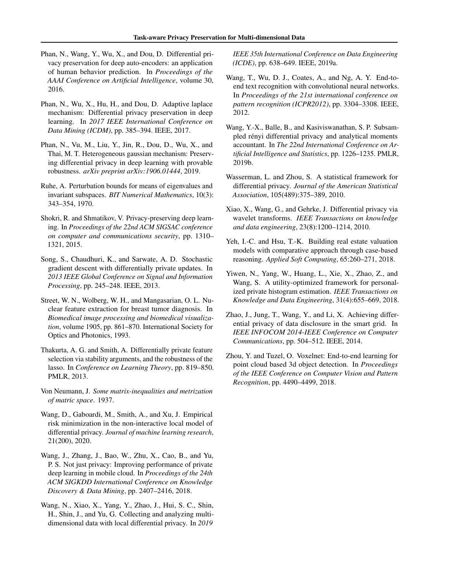- <span id="page-10-12"></span>Phan, N., Wang, Y., Wu, X., and Dou, D. Differential privacy preservation for deep auto-encoders: an application of human behavior prediction. In *Proceedings of the AAAI Conference on Artificial Intelligence*, volume 30, 2016.
- <span id="page-10-13"></span>Phan, N., Wu, X., Hu, H., and Dou, D. Adaptive laplace mechanism: Differential privacy preservation in deep learning. In *2017 IEEE International Conference on Data Mining (ICDM)*, pp. 385–394. IEEE, 2017.
- <span id="page-10-15"></span>Phan, N., Vu, M., Liu, Y., Jin, R., Dou, D., Wu, X., and Thai, M. T. Heterogeneous gaussian mechanism: Preserving differential privacy in deep learning with provable robustness. *arXiv preprint arXiv:1906.01444*, 2019.
- <span id="page-10-18"></span>Ruhe, A. Perturbation bounds for means of eigenvalues and invariant subspaces. *BIT Numerical Mathematics*, 10(3): 343–354, 1970.
- <span id="page-10-11"></span>Shokri, R. and Shmatikov, V. Privacy-preserving deep learning. In *Proceedings of the 22nd ACM SIGSAC conference on computer and communications security*, pp. 1310– 1321, 2015.
- <span id="page-10-10"></span>Song, S., Chaudhuri, K., and Sarwate, A. D. Stochastic gradient descent with differentially private updates. In *2013 IEEE Global Conference on Signal and Information Processing*, pp. 245–248. IEEE, 2013.
- <span id="page-10-17"></span>Street, W. N., Wolberg, W. H., and Mangasarian, O. L. Nuclear feature extraction for breast tumor diagnosis. In *Biomedical image processing and biomedical visualization*, volume 1905, pp. 861–870. International Society for Optics and Photonics, 1993.
- <span id="page-10-4"></span>Thakurta, A. G. and Smith, A. Differentially private feature selection via stability arguments, and the robustness of the lasso. In *Conference on Learning Theory*, pp. 819–850. PMLR, 2013.
- <span id="page-10-19"></span>Von Neumann, J. *Some matrix-inequalities and metrization of matric space*. 1937.
- <span id="page-10-6"></span>Wang, D., Gaboardi, M., Smith, A., and Xu, J. Empirical risk minimization in the non-interactive local model of differential privacy. *Journal of machine learning research*, 21(200), 2020.
- <span id="page-10-14"></span>Wang, J., Zhang, J., Bao, W., Zhu, X., Cao, B., and Yu, P. S. Not just privacy: Improving performance of private deep learning in mobile cloud. In *Proceedings of the 24th ACM SIGKDD International Conference on Knowledge Discovery & Data Mining*, pp. 2407–2416, 2018.
- <span id="page-10-7"></span>Wang, N., Xiao, X., Yang, Y., Zhao, J., Hui, S. C., Shin, H., Shin, J., and Yu, G. Collecting and analyzing multidimensional data with local differential privacy. In *2019*

*IEEE 35th International Conference on Data Engineering (ICDE)*, pp. 638–649. IEEE, 2019a.

- <span id="page-10-8"></span>Wang, T., Wu, D. J., Coates, A., and Ng, A. Y. End-toend text recognition with convolutional neural networks. In *Proceedings of the 21st international conference on pattern recognition (ICPR2012)*, pp. 3304–3308. IEEE, 2012.
- <span id="page-10-1"></span>Wang, Y.-X., Balle, B., and Kasiviswanathan, S. P. Subsampled rényi differential privacy and analytical moments accountant. In *The 22nd International Conference on Artificial Intelligence and Statistics*, pp. 1226–1235. PMLR, 2019b.
- <span id="page-10-2"></span>Wasserman, L. and Zhou, S. A statistical framework for differential privacy. *Journal of the American Statistical Association*, 105(489):375–389, 2010.
- <span id="page-10-3"></span>Xiao, X., Wang, G., and Gehrke, J. Differential privacy via wavelet transforms. *IEEE Transactions on knowledge and data engineering*, 23(8):1200–1214, 2010.
- <span id="page-10-16"></span>Yeh, I.-C. and Hsu, T.-K. Building real estate valuation models with comparative approach through case-based reasoning. *Applied Soft Computing*, 65:260–271, 2018.
- <span id="page-10-5"></span>Yiwen, N., Yang, W., Huang, L., Xie, X., Zhao, Z., and Wang, S. A utility-optimized framework for personalized private histogram estimation. *IEEE Transactions on Knowledge and Data Engineering*, 31(4):655–669, 2018.
- <span id="page-10-0"></span>Zhao, J., Jung, T., Wang, Y., and Li, X. Achieving differential privacy of data disclosure in the smart grid. In *IEEE INFOCOM 2014-IEEE Conference on Computer Communications*, pp. 504–512. IEEE, 2014.
- <span id="page-10-9"></span>Zhou, Y. and Tuzel, O. Voxelnet: End-to-end learning for point cloud based 3d object detection. In *Proceedings of the IEEE Conference on Computer Vision and Pattern Recognition*, pp. 4490–4499, 2018.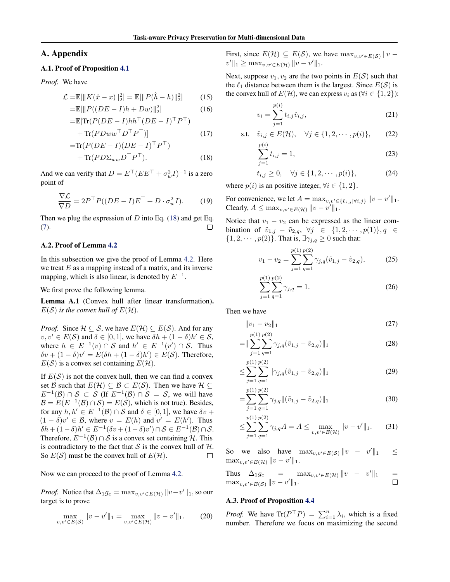## A. Appendix

## A.1. Proof of Proposition [4.1](#page-4-0)

*Proof.* We have

$$
\mathcal{L} = \mathbb{E}[\|K(\hat{x} - x)\|_2^2] = \mathbb{E}[\|P(\hat{h} - h)\|_2^2]
$$
(15)  

$$
= \mathbb{E}[\|P((DF - I)h + Dw)\|^2]
$$
(16)

$$
= \mathbb{E}[\|P((DE - I)h + Dw)\|_2^2]
$$
  
= 
$$
\mathbb{E}[\text{Tr}(P(DE - I)hh^\top (DE - I)^\top P^\top)
$$
 (16)

$$
+\operatorname{Tr}(PDww^\top D^\top P^\top)]\tag{17}
$$

$$
=Tr(P(DE - I)(DE - I)^{\top}P^{\top})
$$
  
+ Tr(PD\Sigma\_{ww}D^{\top}P^{\top}). (18)

And we can verify that  $D = E^{\top} (E E^{\top} + \sigma_w^2 I)^{-1}$  is a zero point of

$$
\frac{\nabla \mathcal{L}}{\nabla D} = 2P^{\top} P((DE - I)E^{\top} + D \cdot \sigma_w^2 I). \tag{19}
$$

Then we plug the expression of  $D$  into Eq. [\(18\)](#page-11-0) and get Eq. [\(7\)](#page-4-4).  $\Box$ 

### A.2. Proof of Lemma [4.2](#page-4-8)

In this subsection we give the proof of Lemma [4.2.](#page-4-8) Here we treat  $E$  as a mapping instead of a matrix, and its inverse mapping, which is also linear, is denoted by  $E^{-1}$ .

We first prove the following lemma.

Lemma A.1 (Convex hull after linear transformation).  $E(S)$  *is the convex hull of*  $E(H)$ *.* 

*Proof.* Since  $H \subseteq S$ , we have  $E(H) \subseteq E(S)$ . And for any  $v, v' \in E(S)$  and  $\delta \in [0, 1]$ , we have  $\delta h + (1 - \delta)h' \in S$ , where  $h \in E^{-1}(v) \cap S$  and  $h' \in E^{-1}(v') \cap S$ . Thus  $\delta v + (1 - \delta)v' = E(\delta h + (1 - \delta)h') \in E(S)$ . Therefore,  $E(S)$  is a convex set containing  $E(\mathcal{H})$ .

If  $E(S)$  is not the convex hull, then we can find a convex set B such that  $E(\mathcal{H}) \subseteq \mathcal{B} \subset E(\mathcal{S})$ . Then we have  $\mathcal{H} \subseteq$  $E^{-1}(\mathcal{B}) \cap \mathcal{S} \subset \mathcal{S}$  (If  $E^{-1}(\mathcal{B}) \cap \mathcal{S} = \mathcal{S}$ , we will have  $\mathcal{B} = E(E^{-1}(\mathcal{B}) \cap \mathcal{S}) = E(\mathcal{S})$ , which is not true). Besides, for any  $h, h' \in E^{-1}(\mathcal{B}) \cap \mathcal{S}$  and  $\delta \in [0, 1]$ , we have  $\delta v$  +  $(1 - \delta)v' \in \mathcal{B}$ , where  $v = E(h)$  and  $v' = E(h')$ . Thus  $\delta h + (1 - \delta)h' \in E^{-1}(\delta v + (1 - \delta)v') \cap \mathcal{S} \in E^{-1}(\mathcal{B}) \cap \mathcal{S}.$ Therefore,  $E^{-1}(\mathcal{B}) \cap \mathcal{S}$  is a convex set containing  $\mathcal{H}$ . This is contradictory to the fact that S is the convex hull of  $H$ . So  $E(S)$  must be the convex hull of  $E(\mathcal{H})$ .  $\Box$ 

Now we can proceed to the proof of Lemma [4.2.](#page-4-8)

*Proof.* Notice that  $\Delta_1 g_e = \max_{v,v' \in E(\mathcal{H})} ||v - v'||_1$ , so our target is to prove

$$
\max_{v,v' \in E(S)} \|v - v'\|_1 = \max_{v,v' \in E(\mathcal{H})} \|v - v'\|_1.
$$
 (20)

First, since  $E(\mathcal{H}) \subseteq E(\mathcal{S})$ , we have  $\max_{v,v' \in E(\mathcal{S})} ||v$  $v' \Vert_1 \geq \max_{v,v' \in E(\mathcal{H})} \Vert v - v' \Vert_1.$ 

Next, suppose  $v_1, v_2$  are the two points in  $E(S)$  such that the  $\ell_1$  distance between them is the largest. Since  $E(S)$  is the convex hull of  $E(\mathcal{H})$ , we can express  $v_i$  as ( $\forall i \in \{1, 2\}$ ):

$$
v_i = \sum_{j=1}^{p(i)} t_{i,j} \tilde{v}_{i,j},
$$
\n(21)

s.t. 
$$
\tilde{v}_{i,j} \in E(\mathcal{H}), \quad \forall j \in \{1, 2, \cdots, p(i)\},
$$
 (22)

$$
\sum_{j=1}^{p(i)} t_{i,j} = 1,
$$
\n(23)

$$
t_{i,j} \ge 0, \quad \forall j \in \{1, 2, \cdots, p(i)\},
$$
 (24)

<span id="page-11-0"></span>where  $p(i)$  is an positive integer,  $\forall i \in \{1, 2\}.$ 

For convenience, we let  $A = \max_{v, v' \in {\{\tilde{v}_{i,j} | \forall i,j\}} } ||v - v'||_1$ . Clearly,  $A \leq \max_{v,v' \in E(\mathcal{H})} ||v - v'||_1$ .

Notice that  $v_1 - v_2$  can be expressed as the linear combination of  $\tilde{v}_{1,j} - \tilde{v}_{2,q}, \forall j \in \{1, 2, \cdots, p(1)\}, q \in$  $\{1, 2, \cdots, p(2)\}\$ . That is,  $\exists \gamma_{i,q} \geq 0$  such that:

$$
v_1 - v_2 = \sum_{j=1}^{p(1)} \sum_{q=1}^{p(2)} \gamma_{j,q} (\tilde{v}_{1,j} - \tilde{v}_{2,q}), \qquad (25)
$$

$$
\sum_{j=1}^{p(1)} \sum_{q=1}^{p(2)} \gamma_{j,q} = 1.
$$
 (26)

Then we have

$$
||v_1 - v_2||_1 \tag{27}
$$

$$
= \|\sum_{j=1}^{p(1)} \sum_{q=1}^{p(2)} \gamma_{j,q}(\tilde{v}_{1,j} - \tilde{v}_{2,q})\|_{1}
$$
\n(28)

$$
\leq \sum_{j=1}^{p(1)} \sum_{q=1}^{p(2)} \|\gamma_{j,q}(\tilde{v}_{1,j} - \tilde{v}_{2,q})\|_1
$$
\n(29)

$$
= \sum_{j=1}^{p(1)} \sum_{q=1}^{p(2)} \gamma_{j,q} \| (\tilde{v}_{1,j} - \tilde{v}_{2,q}) \|_1
$$
\n(30)

$$
\leq \sum_{j=1}^{p(1)} \sum_{q=1}^{p(2)} \gamma_{j,q} A = A \leq \max_{v,v' \in E(\mathcal{H})} ||v - v'||_1. \tag{31}
$$

So we also have  $\max_{v,v'\in E(S)} ||v - v'||_1 \leq$  $\max_{v,v'\in E(\mathcal{H})} ||v - v'||_1.$ 

Thus  $\Delta_1 g_e$  =  $\max_{v,v'\in E(\mathcal{H})} ||v - v'||_1$  =  $\max_{v,v'\in E(\mathcal{S})} ||v - v'||_1.$  $\Box$ 

### A.3. Proof of Proposition [4.4](#page-4-1)

*Proof.* We have  $\text{Tr}(P^{\top}P) = \sum_{i=1}^{n} \lambda_i$ , which is a fixed number. Therefore we focus on maximizing the second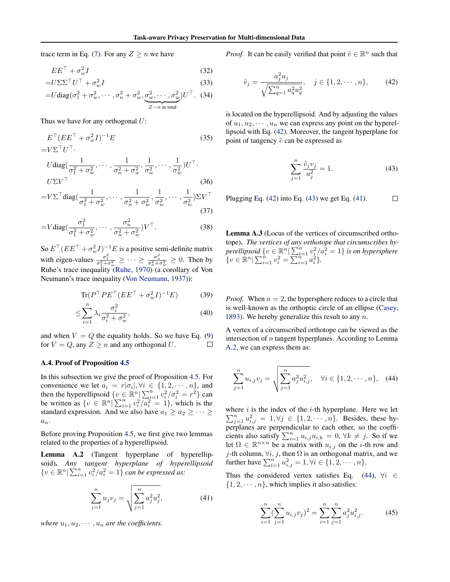trace term in Eq. [\(7\)](#page-4-4). For any  $Z \ge n$  we have

$$
EE^{\top} + \sigma_w^2 I \tag{32}
$$

$$
=U\Sigma\Sigma^{\top}U^{\top} + \sigma_w^2 I
$$
\n
$$
=U \text{diag}(\sigma_1^2 + \sigma_w^2, \cdots, \sigma_n^2 + \sigma_w^2, \sigma_w^2, \cdots, \sigma_w^2)U^{\top}.
$$
\n(33)

 $Z - n$  in total

Thus we have for any orthogonal  $U$ :

$$
E^{\top} (EE^{\top} + \sigma_w^2 I)^{-1} E
$$
\n
$$
= V\Sigma^{\top} U^{\top}.
$$
\n
$$
U \operatorname{diag}(\frac{1}{\sigma_1^2 + \sigma_w^2}, \cdots, \frac{1}{\sigma_n^2 + \sigma_w^2}, \frac{1}{\sigma_w^2}, \cdots, \frac{1}{\sigma_w^2}) U^{\top}.
$$
\n
$$
U\Sigma V^{\top}
$$
\n
$$
= V\Sigma^{\top} \operatorname{diag}(\frac{1}{2 + \sigma_w^2}, \cdots, \frac{1}{2 + \sigma_w^2}, \frac{1}{2}, \cdots, \frac{1}{2}) \Sigma V^{\top}
$$
\n
$$
(36)
$$

$$
=V\Sigma^{\top} \text{diag}(\frac{\sigma_1^2+\sigma_w^2}{\sigma_1^2+\sigma_w^2},\cdots,\frac{\sigma_n^2+\sigma_w^2}{\sigma_w^2},\frac{\sigma_w^2}{\sigma_w^2},\cdots,\frac{\sigma_w^2}{\sigma_w^2})\Sigma V^{\top}
$$
\n(37)

$$
=V \text{diag}\left(\frac{\sigma_1^2}{\sigma_1^2 + \sigma_w^2}, \cdots, \frac{\sigma_n^2}{\sigma_n^2 + \sigma_w^2}\right) V^\top. \tag{38}
$$

So  $E^{\top} (E E^{\top} + \sigma_w^2 I)^{-1} E$  is a positive semi-definite matrix with eigen-values  $\frac{\sigma_1^2}{\sigma_1^2 + \sigma_w^2} \ge \cdots \ge \frac{\sigma_n^2}{\sigma_n^2 + \sigma_w^2} \ge 0$ . Then by Ruhe's trace inequality [\(Ruhe,](#page-10-18) [1970\)](#page-10-18) (a corollary of Von Neumann's trace inequality [\(Von Neumann,](#page-10-19) [1937\)](#page-10-19)):

$$
\text{Tr}(P^\top P E^\top (E E^\top + \sigma_w^2 I)^{-1} E) \tag{39}
$$

$$
\leq \sum_{i=1}^{n} \lambda_i \frac{\sigma_i^2}{\sigma_i^2 + \sigma_w^2},\tag{40}
$$

and when  $V = Q$  the equality holds. So we have Eq. [\(9\)](#page-4-7) for  $V = Q$ , any  $Z \ge n$  and any orthogonal U.  $\Box$ 

#### A.4. Proof of Proposition [4.5](#page-4-6)

In this subsection we give the proof of Proposition [4.5.](#page-4-6) For convenience we let  $a_i = r|\sigma_i|, \forall i \in \{1, 2, \cdots, n\}$ , and then the hyperellipsoid  $\{v \in \mathbb{R}^n \mid \sum_{i=1}^n v_i^2 / \sigma_i^2 = r^2 \}$  can be written as  $\{v \in \mathbb{R}^n \mid \sum_{i=1}^n v_i^2 / a_i^2 = 1\}$ , which is the standard expression. And we also have  $a_1 \ge a_2 \ge \cdots \ge$  $a_n$ .

Before proving Proposition [4.5,](#page-4-6) we first give two lemmas related to the properties of a hyperellipsoid.

<span id="page-12-3"></span>Lemma A.2 (Tangent hyperplane of hyperellipsoid). *Any tangent hyperplane of hyperellipsoid*  $\{v \in \mathbb{R}^n | \sum_{i=1}^n v_i^2/a_i^2 = 1\}$  *can be expressed as:* 

$$
\sum_{j=1}^{n} u_j v_j = \sqrt{\sum_{j=1}^{n} a_j^2 u_j^2},
$$
\n(41)

*where*  $u_1, u_2, \cdots, u_n$  *are the coefficients.* 

*Proof.* It can be easily verified that point  $\tilde{v} \in \mathbb{R}^n$  such that

$$
\tilde{v}_j = \frac{a_j^2 u_j}{\sqrt{\sum_{q=1}^n a_q^2 u_q^2}}, \quad j \in \{1, 2, \cdots, n\},\qquad(42)
$$

is located on the hyperellipsoid. And by adjusting the values of  $u_1, u_2, \dots, u_n$  we can express any point on the hyperellipsoid with Eq. [\(42\)](#page-12-0). Moreover, the tangent hyperplane for point of tangency  $\tilde{v}$  can be expressed as

<span id="page-12-1"></span><span id="page-12-0"></span>
$$
\sum_{j=1}^{n} \frac{\tilde{v}_j v_j}{a_j^2} = 1.
$$
 (43)

Plugging Eq.  $(42)$  into Eq.  $(43)$  we get Eq.  $(41)$ .  $\Box$ 

<span id="page-12-5"></span>Lemma A.3 (Locus of the vertices of circumscribed orthotope). *The vertices of any orthotope that circumscribes hy* $perellipsoid \{ v \in \mathbb{R}^n | \sum_{i=1}^n v_i^2/a_i^2 = 1 \}$  *is on hypersphere*  $\{v \in \mathbb{R}^n \mid \sum_{i=1}^n v_i^2 = \sum_{i=1}^{n-1} a_i^2\}.$ 

*Proof.* When  $n = 2$ , the hypersphere reduces to a circle that is well-known as the orthoptic circle of an ellipse [\(Casey,](#page-8-18) [1893\)](#page-8-18). We hereby generalize this result to any  $n$ .

A vertex of a circumscribed orthotope can be viewed as the intersection of  $n$  tangent hyperplanes. According to Lemma [A.2,](#page-12-3) we can express them as:

<span id="page-12-4"></span>
$$
\sum_{j=1}^{n} u_{i,j} v_j = \sqrt{\sum_{j=1}^{n} a_j^2 u_{i,j}^2}, \quad \forall i \in \{1, 2, \cdots, n\}, \quad (44)
$$

where  $i$  is the index of the  $i$ -th hyperplane. Here we let  $\sum_{j=1}^{n} u_{i,j}^2 = 1, \forall j \in \{1, 2, \cdots, n\}$ . Besides, these hyperplanes are perpendicular to each other, so the coefficients also satisfy  $\sum_{i=1}^{n} u_{i,j} u_{i,k} = 0$ ,  $\forall k \neq j$ . So if we let  $\Omega \in \mathbb{R}^{n \times n}$  be a matrix with  $u_{i,j}$  on the *i*-th row and j-th column,  $\forall i, j$ , then  $\Omega$  is an orthogonal matrix, and we further have  $\sum_{i=1}^{n} u_{i,j}^2 = 1, \forall i \in \{1, 2, \cdots, n\}.$ 

<span id="page-12-2"></span>Thus the considered vertex satisfies Eq. [\(44\)](#page-12-4),  $\forall i \in$  $\{1, 2, \dots, n\}$ , which implies it also satisfies:

$$
\sum_{i=1}^{n} \left(\sum_{j=1}^{n} u_{i,j} v_j\right)^2 = \sum_{i=1}^{n} \sum_{j=1}^{n} a_j^2 u_{i,j}^2.
$$
 (45)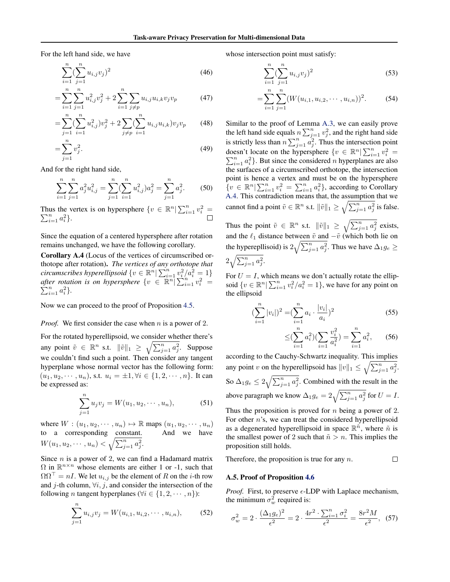For the left hand side, we have

$$
\sum_{i=1}^{n} \left(\sum_{j=1}^{n} u_{i,j} v_j\right)^2 \tag{46}
$$

$$
= \sum_{i=1}^{n} \sum_{j=1}^{n} u_{i,j}^{2} v_{j}^{2} + 2 \sum_{i=1}^{n} \sum_{j \neq p} u_{i,j} u_{i,k} v_{j} v_{p}
$$
(47)

$$
= \sum_{j=1}^{n} \left( \sum_{i=1}^{n} u_{i,j}^{2} \right) v_j^2 + 2 \sum_{j \neq p} \left( \sum_{i=1}^{n} u_{i,j} u_{i,k} \right) v_j v_p \tag{48}
$$

$$
=\sum_{j=1}^{n} v_j^2.
$$
 (49)

And for the right hand side,

$$
\sum_{i=1}^{n} \sum_{j=1}^{n} a_j^2 u_{i,j}^2 = \sum_{j=1}^{n} (\sum_{i=1}^{n} u_{i,j}^2) a_j^2 = \sum_{j=1}^{n} a_j^2.
$$
 (50)

Thus the vertex is on hypersphere  $\{v \in \mathbb{R}^n | \sum_{i=1}^n v_i^2 =$  $\sum_{i=1}^{n} a_i^2$ .

Since the equation of a centered hypersphere after rotation remains unchanged, we have the following corollary.

<span id="page-13-0"></span>Corollary A.4 (Locus of the vertices of circumscribed orthotope after rotation). *The vertices of any orthotope that circumscribes hyperellipsoid*  $\{v \in \mathbb{R}^n | \sum_{i=1}^n v_i^2/a_i^2 = 1\}$ *after rotation is on hypersphere*  $\{v \in \mathbb{R}^n | \sum_{i=1}^n v_i^2 =$  $\sum_{i=1}^{n} a_i^2$ .

Now we can proceed to the proof of Proposition [4.5.](#page-4-6)

#### *Proof.* We first consider the case when *n* is a power of 2.

For the rotated hyperellipsoid, we consider whether there's any point  $\tilde{v} \in \mathbb{R}^n$  s.t.  $\|\tilde{v}\|_1 \geq \sqrt{\sum_{j=1}^n a_j^2}$ . Suppose we couldn't find such a point. Then consider any tangent hyperplane whose normal vector has the following form:  $(u_1, u_2, \dots, u_n)$ , s.t.  $u_i = \pm 1, \forall i \in \{1, 2, \dots, n\}$ . It can be expressed as:

$$
\sum_{j=1}^{n} u_j v_j = W(u_1, u_2, \cdots, u_n), \tag{51}
$$

where  $W : (u_1, u_2, \dots, u_n) \mapsto \mathbb{R}$  maps  $(u_1, u_2, \dots, u_n)$ to a corresponding constant. And we have  $W(u_1, u_2, \cdots, u_n) < \sqrt{\sum_{j=1}^n a_j^2}.$ 

Since  $n$  is a power of 2, we can find a Hadamard matrix  $\Omega$  in  $\mathbb{R}^{n \times n}$  whose elements are either 1 or -1, such that  $\Omega \Omega^{\top} = nI$ . We let  $u_{i,j}$  be the element of R on the *i*-th row and j-th column,  $\forall i, j$ , and consider the intersection of the following *n* tangent hyperplanes ( $\forall i \in \{1, 2, \dots, n\}$ ):

$$
\sum_{j=1}^{n} u_{i,j} v_j = W(u_{i,1}, u_{i,2}, \cdots, u_{i,n}), \qquad (52)
$$

whose intersection point must satisfy:

$$
\sum_{i=1}^{n} \left(\sum_{j=1}^{n} u_{i,j} v_j\right)^2 \tag{53}
$$

$$
= \sum_{i=1}^{n} \sum_{j=1}^{n} (W(u_{i,1}, u_{i,2}, \cdots, u_{i,n}))^{2}.
$$
 (54)

Similar to the proof of Lemma [A.3,](#page-12-5) we can easily prove the left hand side equals  $n \sum_{j=1}^{n} v_j^2$ , and the right hand side is strictly less than  $n \sum_{j=1}^{n} a_j^2$ . Thus the intersection point doesn't locate on the hypersphere  $\{v \in \mathbb{R}^n | \sum_{i=1}^n v_i^2 =$  $\sum_{i=1}^{n} a_i^2$ . But since the considered *n* hyperplanes are also the surfaces of a circumscribed orthotope, the intersection point is hence a vertex and must be on the hypersphere  $\{v \in \mathbb{R}^n | \sum_{i=1}^n v_i^2 = \sum_{i=1}^n a_i^2\}$ , according to Corollary [A.4.](#page-13-0) This contradiction means that, the assumption that we cannot find a point  $\tilde{v} \in \mathbb{R}^n$  s.t.  $\|\tilde{v}\|_1 \geq \sqrt{\sum_{j=1}^n a_j^2}$  is false.

Thus the point  $\tilde{v} \in \mathbb{R}^n$  s.t.  $\|\tilde{v}\|_1 \geq \sqrt{\sum_{j=1}^n a_j^2}$  exists, and the  $\ell_1$  distance between  $\tilde{v}$  and  $-\tilde{v}$  (which both lie on the hyperepllisoid) is  $2\sqrt{\sum_{j=1}^{n} a_j^2}$ . Thus we have  $\Delta_1 g_e \geq$ 

$$
2\sqrt{\sum_{j=1}^n a_j^2}.
$$

For  $U = I$ , which means we don't actually rotate the ellipsoid  $\{v \in \mathbb{R}^n | \sum_{i=1}^n v_i^2 / a_i^2 = 1\}$ , we have for any point on the ellipsoid

$$
\left(\sum_{i=1}^{n} |v_i|\right)^2 = \left(\sum_{i=1}^{n} a_i \cdot \frac{|v_i|}{a_i}\right)^2 \tag{55}
$$

$$
\leq \left(\sum_{i=1}^{n} a_i^2\right) \left(\sum_{i=1}^{n} \frac{v_i^2}{a_i^2}\right) = \sum_{i=1}^{n} a_i^2, \qquad (56)
$$

according to the Cauchy-Schwartz inequality. This implies any point v on the hyperellipsoid has  $||v||_1 \leq \sqrt{\sum_{j=1}^n a_j^2}$ . So  $\Delta_1 g_e \leq 2\sqrt{\sum_{j=1}^n a_j^2}$ . Combined with the result in the above paragraph we know  $\Delta_1 g_e = 2\sqrt{\sum_{j=1}^n a_j^2}$  for  $U = I$ . Thus the proposition is proved for  $n$  being a power of 2.

For other n's, we can treat the considered hyperellipsoid as a degenerated hyperellipsoid in space  $\mathbb{R}^{\tilde{n}}$ , where  $\tilde{n}$  is the smallest power of 2 such that  $\tilde{n} > n$ . This implies the proposition still holds.

Therefore, the proposition is true for any  $n$ .  $\Box$ 

#### A.5. Proof of Proposition [4.6](#page-5-0)

*Proof.* First, to preserve  $\epsilon$ -LDP with Laplace mechanism, the minimum  $\sigma_w^2$  required is:

<span id="page-13-1"></span>
$$
\sigma_w^2 = 2 \cdot \frac{(\Delta_1 g_e)^2}{\epsilon^2} = 2 \cdot \frac{4r^2 \cdot \sum_{i=1}^n \sigma_i^2}{\epsilon^2} = \frac{8r^2 M}{\epsilon^2},
$$
 (57)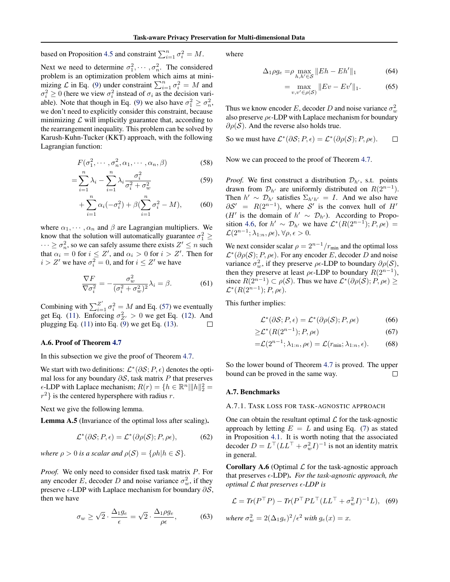based on Proposition [4.5](#page-4-6) and constraint  $\sum_{i=1}^{n} \sigma_i^2 = M$ .

Next we need to determine  $\sigma_1^2, \cdots, \sigma_n^2$ . The considered problem is an optimization problem which aims at minimizing  $\mathcal L$  in Eq. [\(9\)](#page-4-7) under constraint  $\sum_{i=1}^n \sigma_i^2 = M$  and  $\sigma_i^2 \ge 0$  (here we view  $\sigma_i^2$  instead of  $\sigma_i$  as the decision vari-able). Note that though in Eq. [\(9\)](#page-4-7) we also have  $\sigma_1^2 \ge \sigma_n^2$ , we don't need to explicitly consider this constraint, because minimizing  $\mathcal L$  will implicitly guarantee that, according to the rearrangement inequality. This problem can be solved by Karush-Kuhn-Tucker (KKT) approach, with the following Lagrangian function:

$$
F(\sigma_1^2, \cdots, \sigma_n^2, \alpha_1, \cdots, \alpha_n, \beta) \tag{58}
$$

$$
=\sum_{i=1}^{n} \lambda_i - \sum_{i=1}^{n} \lambda_i \frac{\sigma_i^2}{\sigma_i^2 + \sigma_w^2}
$$
 (59)

$$
+\sum_{i=1}^{n} \alpha_i(-\sigma_i^2) + \beta(\sum_{i=1}^{n} \sigma_i^2 - M), \tag{60}
$$

where  $\alpha_1, \dots, \alpha_n$  and  $\beta$  are Lagrangian multipliers. We know that the solution will automatically guarantee  $\sigma_1^2 \geq$  $\cdots \geq \sigma_n^2$ , so we can safely assume there exists  $Z' \leq n$  such that  $\alpha_i = 0$  for  $i \leq Z'$ , and  $\alpha_i > 0$  for  $i > Z'$ . Then for  $i > Z'$  we have  $\sigma_i^2 = 0$ , and for  $i \leq Z'$  we have

$$
\frac{\nabla F}{\nabla \sigma_i^2} = -\frac{\sigma_w^2}{(\sigma_i^2 + \sigma_w^2)^2} \lambda_i = \beta.
$$
 (61)

Combining with  $\sum_{i=1}^{Z'} \sigma_i^2 = M$  and Eq. [\(57\)](#page-13-1) we eventually get Eq. [\(11\)](#page-5-7). Enforcing  $\sigma_{Z'}^2 > 0$  we get Eq. [\(12\)](#page-5-4). And plugging Eq.  $(11)$  into Eq.  $(9)$  we get Eq.  $(13)$ . П

#### A.6. Proof of Theorem [4.7](#page-5-1)

In this subsection we give the proof of Theorem [4.7.](#page-5-1)

We start with two definitions:  $\mathcal{L}^*(\partial \mathcal{S}; P, \epsilon)$  denotes the optimal loss for any boundary  $\partial S$ , task matrix P that preserves  $\epsilon$ -LDP with Laplace mechanism;  $R(r) = \{h \in \mathbb{R}^n \mid ||h||_2^2 =$  $r^2$ } is the centered hypersphere with radius r.

Next we give the following lemma.

Lemma A.5 (Invariance of the optimal loss after scaling).

$$
\mathcal{L}^*(\partial \mathcal{S}; P, \epsilon) = \mathcal{L}^*(\partial \rho(\mathcal{S}); P, \rho \epsilon), \tag{62}
$$

*where*  $\rho > 0$  *is a scalar and*  $\rho(S) = \{\rho h | h \in S\}.$ 

*Proof.* We only need to consider fixed task matrix P. For any encoder E, decoder D and noise variance  $\sigma_w^2$ , if they preserve  $\epsilon$ -LDP with Laplace mechanism for boundary  $\partial S$ , then we have

$$
\sigma_w \ge \sqrt{2} \cdot \frac{\Delta_1 g_e}{\epsilon} = \sqrt{2} \cdot \frac{\Delta_1 \rho g_e}{\rho \epsilon},\tag{63}
$$

where

$$
\Delta_1 \rho g_e = \rho \max_{h, h' \in \mathcal{S}} \|E h - E h'\|_1 \tag{64}
$$

$$
= \max_{v,v' \in \rho(\mathcal{S})} \|Ev - Ev'\|_1.
$$
 (65)

Thus we know encoder E, decoder D and noise variance  $\sigma_w^2$ also preserve  $\rho \epsilon$ -LDP with Laplace mechanism for boundary  $\partial \rho(\mathcal{S})$ . And the reverse also holds true.

So we must have 
$$
\mathcal{L}^*(\partial \mathcal{S}; P, \epsilon) = \mathcal{L}^*(\partial \rho(\mathcal{S}); P, \rho \epsilon)
$$
.  $\square$ 

Now we can proceed to the proof of Theorem [4.7.](#page-5-1)

*Proof.* We first construct a distribution  $\mathcal{D}_{h'}$ , s.t. points drawn from  $\mathcal{D}_{h'}$  are uniformly distributed on  $R(2^{n-1})$ . Then  $h' \sim \mathcal{D}_{h'}$  satisfies  $\Sigma_{h'h'} = I$ . And we also have  $\partial S' = R(2^{n-1})$ , where S' is the convex hull of H'  $(H'$  is the domain of  $h' \sim \mathcal{D}_{h'}$ ). According to Propo-sition [4.6,](#page-5-0) for  $h' \sim \mathcal{D}_{h'}$  we have  $\mathcal{L}^*(R(2^{n-1}); P, \rho \epsilon) =$  $\mathcal{L}(2^{n-1}; \lambda_{1:n}, \rho \epsilon), \forall \rho, \epsilon > 0.$ 

We next consider scalar  $\rho = 2^{n-1}/r_{\text{min}}$  and the optimal loss  $\mathcal{L}^*(\partial \rho(\mathcal{S}); P, \rho \epsilon)$ . For any encoder E, decoder D and noise variance  $\sigma_w^2$ , if they preserve  $\rho \in LDP$  to boundary  $\partial \rho(S)$ , then they preserve at least  $\rho \in LDP$  to boundary  $R(2^{n-1})$ , since  $R(2^{n-1}) \subset \rho(S)$ . Thus we have  $\mathcal{L}^*(\partial \rho(S); P, \rho \epsilon) \geq$  $\mathcal{L}^*(R(2^{n-1}); P, \rho \epsilon).$ 

This further implies:

$$
\mathcal{L}^*(\partial \mathcal{S}; P, \epsilon) = \mathcal{L}^*(\partial \rho(\mathcal{S}); P, \rho \epsilon)
$$
 (66)

$$
\geq \mathcal{L}^*(R(2^{n-1}); P, \rho \epsilon) \tag{67}
$$

$$
=\mathcal{L}(2^{n-1}; \lambda_{1:n}, \rho \epsilon) = \mathcal{L}(r_{\min}; \lambda_{1:n}, \epsilon).
$$
 (68)

So the lower bound of Theorem [4.7](#page-5-1) is proved. The upper bound can be proved in the same way.  $\Box$ 

#### <span id="page-14-1"></span><span id="page-14-0"></span>A.7. Benchmarks

#### A.7.1. TASK LOSS FOR TASK-AGNOSTIC APPROACH

One can obtain the resultant optimal  $\mathcal L$  for the task-agnostic approach by letting  $E = L$  and using Eq. [\(7\)](#page-4-4) as stated in Proposition [4.1.](#page-4-0) It is worth noting that the associated decoder  $D = L^{\top} (LL^{\top} + \sigma_w^2 I)^{-1}$  is not an identity matrix in general.

**Corollary A.6** (Optimal  $\mathcal L$  for the task-agnostic approach that preserves  $\epsilon$ -LDP). *For the task-agnostic approach, the optimal* L *that preserves -LDP is*

<span id="page-14-2"></span>
$$
\mathcal{L} = Tr(P^{\top}P) - Tr(P^{\top}PL^{\top}(LL^{\top} + \sigma_w^2I)^{-1}L), \quad (69)
$$
  
where  $\sigma_w^2 = 2(\Delta_1 g_e)^2/\epsilon^2$  with  $g_e(x) = x$ .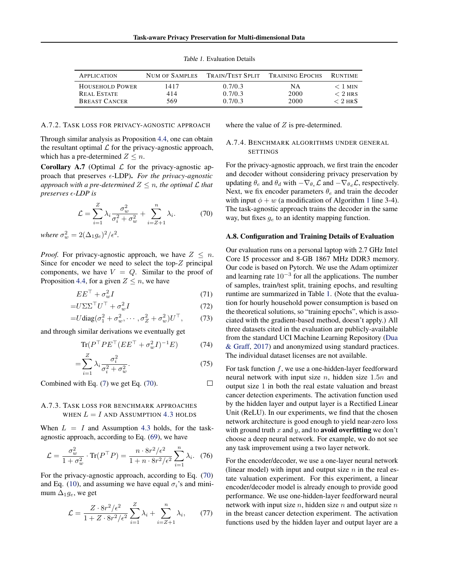<span id="page-15-2"></span>

| <b>APPLICATION</b>     | NUM OF SAMPLES | TRAIN/TEST SPLIT | <b>TRAINING EPOCHS</b> | <b>RUNTIME</b> |
|------------------------|----------------|------------------|------------------------|----------------|
| <b>HOUSEHOLD POWER</b> | 1417           | 0.7/0.3          | NA                     | $<$ 1 MIN      |
| REAL ESTATE            | 414            | 0.7/0.3          | 2000                   | $< 2$ HRS      |
| <b>BREAST CANCER</b>   | 569            | 0.7/0.3          | 2000                   | $< 2$ HRS      |

 $\Box$ 

Table 1. Evaluation Details

#### A.7.2. TASK LOSS FOR PRIVACY-AGNOSTIC APPROACH

Through similar analysis as Proposition [4.4,](#page-4-1) one can obtain the resultant optimal  $\mathcal L$  for the privacy-agnostic approach, which has a pre-determined  $Z \leq n$ .

**Corollary A.7** (Optimal  $\mathcal L$  for the privacy-agnostic approach that preserves  $\epsilon$ -LDP). *For the privacy-agnostic approach with a pre-determined*  $Z \leq n$ *, the optimal*  $\mathcal L$  *that preserves -LDP is*

$$
\mathcal{L} = \sum_{i=1}^{Z} \lambda_i \frac{\sigma_w^2}{\sigma_i^2 + \sigma_w^2} + \sum_{i=Z+1}^{n} \lambda_i.
$$
 (70)

*where*  $\sigma_w^2 = 2(\Delta_1 g_e)^2/\epsilon^2$ .

*Proof.* For privacy-agnostic approach, we have  $Z \leq n$ . Since for encoder we need to select the top- $Z$  principal components, we have  $V = Q$ . Similar to the proof of Proposition [4.4,](#page-4-1) for a given  $Z \leq n$ , we have

$$
EE^{\top} + \sigma_w^2 I \tag{71}
$$

$$
=U\Sigma\Sigma^{\top}U^{\top} + \sigma_w^2I \tag{72}
$$

$$
=U \text{diag}(\sigma_1^2 + \sigma_w^2, \cdots, \sigma_Z^2 + \sigma_w^2) U^\top, \qquad (73)
$$

and through similar derivations we eventually get

$$
\text{Tr}(P^\top P E^\top (E E^\top + \sigma_w^2 I)^{-1} E) \tag{74}
$$

$$
=\sum_{i=1}^{Z} \lambda_i \frac{\sigma_i^2}{\sigma_i^2 + \sigma_w^2}.\tag{75}
$$

Combined with Eq. [\(7\)](#page-4-4) we get Eq. [\(70\)](#page-15-1).

### A.7.3. TASK LOSS FOR BENCHMARK APPROACHES WHEN  $L = I$  and Assumption [4.3](#page-4-2) holds

When  $L = I$  and Assumption [4.3](#page-4-2) holds, for the taskagnostic approach, according to Eq. [\(69\)](#page-14-2), we have

$$
\mathcal{L} = \frac{\sigma_w^2}{1 + \sigma_w^2} \cdot \text{Tr}(P^\top P) = \frac{n \cdot 8r^2/\epsilon^2}{1 + n \cdot 8r^2/\epsilon^2} \sum_{i=1}^n \lambda_i. \tag{76}
$$

For the privacy-agnostic approach, according to Eq. [\(70\)](#page-15-1) and Eq. [\(10\)](#page-4-9), and assuming we have equal  $\sigma_i$ 's and minimum  $\Delta_1 g_e$ , we get

$$
\mathcal{L} = \frac{Z \cdot 8r^2/\epsilon^2}{1 + Z \cdot 8r^2/\epsilon^2} \sum_{i=1}^{Z} \lambda_i + \sum_{i=Z+1}^{n} \lambda_i, \qquad (77)
$$

where the value of  $Z$  is pre-determined.

#### <span id="page-15-0"></span>A.7.4. BENCHMARK ALGORITHMS UNDER GENERAL SETTINGS

For the privacy-agnostic approach, we first train the encoder and decoder without considering privacy preservation by updating  $\theta_e$  and  $\theta_d$  with  $-\nabla_{\theta_e} \mathcal{L}$  and  $-\nabla_{\theta_d} \mathcal{L}$ , respectively. Next, we fix encoder parameters  $\theta_e$  and train the decoder with input  $\phi + w$  (a modification of Algorithm [1](#page-6-1) line 3-4). The task-agnostic approach trains the decoder in the same way, but fixes  $g_e$  to an identity mapping function.

#### <span id="page-15-1"></span>A.8. Configuration and Training Details of Evaluation

Our evaluation runs on a personal laptop with 2.7 GHz Intel Core I5 processor and 8-GB 1867 MHz DDR3 memory. Our code is based on Pytorch. We use the Adam optimizer and learning rate  $10^{-3}$  for all the applications. The number of samples, train/test split, training epochs, and resulting runtime are summarized in Table [1.](#page-15-2) (Note that the evaluation for hourly household power consumption is based on the theoretical solutions, so "training epochs", which is associated with the gradient-based method, doesn't apply.) All three datasets cited in the evaluation are publicly-available from the standard UCI Machine Learning Repository [\(Dua](#page-8-17) [& Graff,](#page-8-17) [2017\)](#page-8-17) and anonymized using standard practices. The individual dataset licenses are not available.

For task function  $f$ , we use a one-hidden-layer feedforward neural network with input size  $n$ , hidden size 1.5 $n$  and output size 1 in both the real estate valuation and breast cancer detection experiments. The activation function used by the hidden layer and output layer is a Rectified Linear Unit (ReLU). In our experiments, we find that the chosen network architecture is good enough to yield near-zero loss with ground truth x and y, and to **avoid overfitting** we don't choose a deep neural network. For example, we do not see any task improvement using a two layer network.

For the encoder/decoder, we use a one-layer neural network (linear model) with input and output size  $n$  in the real estate valuation experiment. For this experiment, a linear encoder/decoder model is already enough to provide good performance. We use one-hidden-layer feedforward neural network with input size  $n$ , hidden size  $n$  and output size  $n$ in the breast cancer detection experiment. The activation functions used by the hidden layer and output layer are a